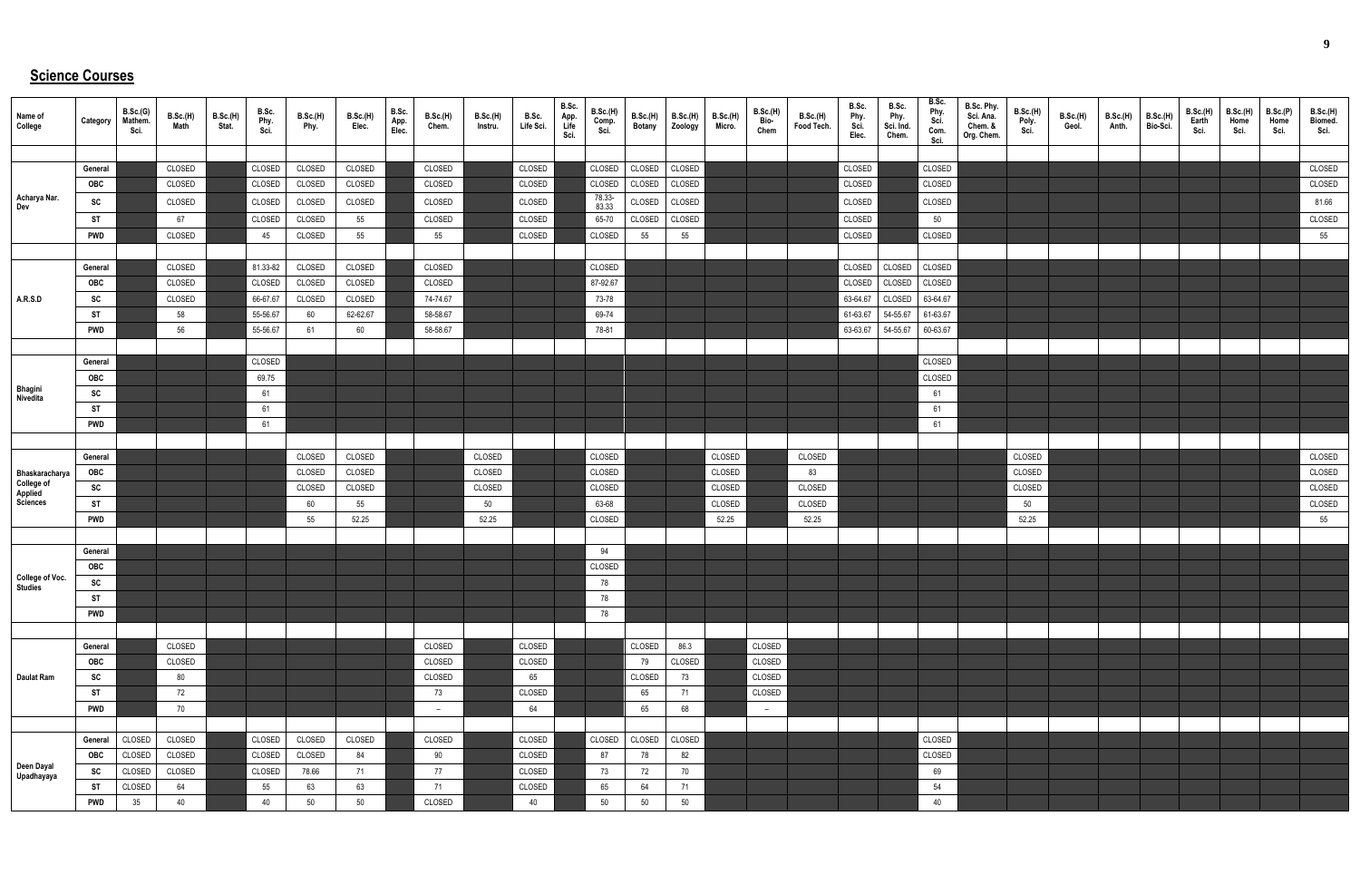## **Science Courses**

| Name of<br>College                                  | Category   | B.Sc.(G)<br>Mathem.<br>Sci. | B.Sc.(H)<br>Math | B.Sc.(H)<br>Stat. | B.Sc.<br>Phy.<br>Sci. | B.Sc.(H)<br>Phy. | B.Sc.(H)<br>Elec. | B.Sc.<br>App.<br>Elec. | B.Sc.(H)<br>Chem. | <b>B.Sc.(H)</b><br>Instru. | B.Sc.<br>Life Sci. | B.Sc.<br>App.<br>Life<br>Sci. | B.Sc.(H)<br>Comp.<br>Sci. | B.Sc.(H)<br><b>Botany</b> | B.Sc.(H)<br>Zoology | <b>B.Sc.(H)</b><br>Micro. | B.Sc.(H)<br>Bio-<br>Chem | B.Sc.(H)<br>Food Tech. | B.Sc.<br>Phy.<br>Sci.<br>Elec. | B.Sc.<br>Phy.<br>Sci. Ind.<br>Chem. | B.Sc.<br>Phy.<br>Sci.<br>Com.<br>Sci. | B.Sc. Phy.<br>Sci. Ana.<br>Chem. &<br>Org. Chem. | <b>B.Sc.(H)</b><br>Poly.<br>Sci. | B.Sc.(H)<br>Geol. | B.Sc.(H)<br>Anth. | <b>B.Sc.(H)</b><br>Bio-Sci. | B.Sc.(H)<br>Earth<br>Sci. | <b>B.Sc.(H)</b><br>Home<br>Sci. | B.Sc.(P)<br>Home<br>Sci. | B.Sc.(H)<br>Biomed.<br>Sci. |
|-----------------------------------------------------|------------|-----------------------------|------------------|-------------------|-----------------------|------------------|-------------------|------------------------|-------------------|----------------------------|--------------------|-------------------------------|---------------------------|---------------------------|---------------------|---------------------------|--------------------------|------------------------|--------------------------------|-------------------------------------|---------------------------------------|--------------------------------------------------|----------------------------------|-------------------|-------------------|-----------------------------|---------------------------|---------------------------------|--------------------------|-----------------------------|
|                                                     |            |                             |                  |                   |                       |                  |                   |                        |                   |                            |                    |                               |                           |                           |                     |                           |                          |                        |                                |                                     |                                       |                                                  |                                  |                   |                   |                             |                           |                                 |                          |                             |
|                                                     | General    |                             | CLOSED           |                   | CLOSED                | CLOSED           | CLOSED            |                        | CLOSED            |                            | CLOSED             |                               | CLOSED                    | CLOSED                    | CLOSED              |                           |                          |                        | CLOSED                         |                                     | CLOSED                                |                                                  |                                  |                   |                   |                             |                           |                                 |                          | CLOSED                      |
|                                                     | OBC        |                             | CLOSED           |                   | CLOSED                | CLOSED           | CLOSED            |                        | CLOSED            |                            | CLOSED             |                               | CLOSED                    | CLOSED                    | CLOSED              |                           |                          |                        | CLOSED                         |                                     | CLOSED                                |                                                  |                                  |                   |                   |                             |                           |                                 |                          | CLOSED                      |
| Acharya Nar.<br>Dev                                 | SC         |                             | CLOSED           |                   | CLOSED                | CLOSED           | CLOSED            |                        | CLOSED            |                            | CLOSED             |                               | 78.33-<br>83.33           | CLOSED                    | CLOSED              |                           |                          |                        | CLOSED                         |                                     | CLOSED                                |                                                  |                                  |                   |                   |                             |                           |                                 |                          | 81.66                       |
|                                                     | ST         |                             | 67               |                   | CLOSED                | CLOSED           | 55                |                        | CLOSED            |                            | CLOSED             |                               | 65-70                     | CLOSED                    | CLOSED              |                           |                          |                        | CLOSED                         |                                     | 50                                    |                                                  |                                  |                   |                   |                             |                           |                                 |                          | CLOSED                      |
|                                                     | <b>PWD</b> |                             | CLOSED           |                   | 45                    | CLOSED           | 55                |                        | 55                |                            | CLOSED             |                               | CLOSED                    | 55                        | 55                  |                           |                          |                        | CLOSED                         |                                     | CLOSED                                |                                                  |                                  |                   |                   |                             |                           |                                 |                          | 55                          |
|                                                     |            |                             |                  |                   |                       |                  |                   |                        |                   |                            |                    |                               |                           |                           |                     |                           |                          |                        |                                |                                     |                                       |                                                  |                                  |                   |                   |                             |                           |                                 |                          |                             |
|                                                     | General    |                             | CLOSED           |                   | 81.33-82              | CLOSED           | CLOSED            |                        | CLOSED            |                            |                    |                               | CLOSED                    |                           |                     |                           |                          |                        | CLOSED                         | CLOSED                              | CLOSED                                |                                                  |                                  |                   |                   |                             |                           |                                 |                          |                             |
|                                                     | OBC        |                             | CLOSED           |                   | CLOSED                | CLOSED           | CLOSED            |                        | CLOSED            |                            |                    |                               | 87-92.67                  |                           |                     |                           |                          |                        | CLOSED                         | CLOSED                              | CLOSED                                |                                                  |                                  |                   |                   |                             |                           |                                 |                          |                             |
| A.R.S.D                                             | SC         |                             | CLOSED           |                   | 66-67.67              | CLOSED           | CLOSED            |                        | 74-74.67          |                            |                    |                               | 73-78                     |                           |                     |                           |                          |                        | 63-64.67                       | CLOSED                              | 63-64.67                              |                                                  |                                  |                   |                   |                             |                           |                                 |                          |                             |
|                                                     | <b>ST</b>  |                             | 58               |                   | 55-56.67              | 60               | 62-62.67          |                        | 58-58.67          |                            |                    |                               | 69-74                     |                           |                     |                           |                          |                        | 61-63.67                       | 54-55.67                            | 61-63.67                              |                                                  |                                  |                   |                   |                             |                           |                                 |                          |                             |
|                                                     | <b>PWD</b> |                             | 56               |                   | 55-56.67              | 61               | 60                |                        | 58-58.67          |                            |                    |                               | 78-81                     |                           |                     |                           |                          |                        | 63-63.67                       | 54-55.67                            | 60-63.67                              |                                                  |                                  |                   |                   |                             |                           |                                 |                          |                             |
|                                                     |            |                             |                  |                   |                       |                  |                   |                        |                   |                            |                    |                               |                           |                           |                     |                           |                          |                        |                                |                                     |                                       |                                                  |                                  |                   |                   |                             |                           |                                 |                          |                             |
|                                                     | General    |                             |                  |                   | CLOSED                |                  |                   |                        |                   |                            |                    |                               |                           |                           |                     |                           |                          |                        |                                |                                     | CLOSED                                |                                                  |                                  |                   |                   |                             |                           |                                 |                          |                             |
|                                                     | OBC        |                             |                  |                   | 69.75                 |                  |                   |                        |                   |                            |                    |                               |                           |                           |                     |                           |                          |                        |                                |                                     | CLOSED                                |                                                  |                                  |                   |                   |                             |                           |                                 |                          |                             |
| Bhagini<br>Nivedita                                 | SC         |                             |                  |                   | 61                    |                  |                   |                        |                   |                            |                    |                               |                           |                           |                     |                           |                          |                        |                                |                                     | 61                                    |                                                  |                                  |                   |                   |                             |                           |                                 |                          |                             |
|                                                     | ST         |                             |                  |                   | 61                    |                  |                   |                        |                   |                            |                    |                               |                           |                           |                     |                           |                          |                        |                                |                                     | 61                                    |                                                  |                                  |                   |                   |                             |                           |                                 |                          |                             |
|                                                     | <b>PWD</b> |                             |                  |                   | 61                    |                  |                   |                        |                   |                            |                    |                               |                           |                           |                     |                           |                          |                        |                                |                                     | 61                                    |                                                  |                                  |                   |                   |                             |                           |                                 |                          |                             |
|                                                     |            |                             |                  |                   |                       |                  |                   |                        |                   |                            |                    |                               |                           |                           |                     |                           |                          |                        |                                |                                     |                                       |                                                  |                                  |                   |                   |                             |                           |                                 |                          |                             |
|                                                     | General    |                             |                  |                   |                       | CLOSED           | CLOSED            |                        |                   | CLOSED                     |                    |                               | CLOSED                    |                           |                     | CLOSED                    |                          | CLOSED                 |                                |                                     |                                       |                                                  | CLOSED                           |                   |                   |                             |                           |                                 |                          | CLOSED                      |
|                                                     | OBC        |                             |                  |                   |                       | CLOSED           | CLOSED            |                        |                   | CLOSED                     |                    |                               | CLOSED                    |                           |                     | CLOSED                    |                          | 83                     |                                |                                     |                                       |                                                  | CLOSED                           |                   |                   |                             |                           |                                 |                          | CLOSED                      |
| Bhaskaracharya<br>College of<br>Applied<br>Sciences | SC         |                             |                  |                   |                       | CLOSED           | CLOSED            |                        |                   | CLOSED                     |                    |                               | CLOSED                    |                           |                     | CLOSED                    |                          | CLOSED                 |                                |                                     |                                       |                                                  | CLOSED                           |                   |                   |                             |                           |                                 |                          | CLOSED                      |
|                                                     | ST         |                             |                  |                   |                       | 60               | 55                |                        |                   | 50                         |                    |                               | 63-68                     |                           |                     | CLOSED                    |                          | CLOSED                 |                                |                                     |                                       |                                                  | 50                               |                   |                   |                             |                           |                                 |                          | CLOSED                      |
|                                                     | PWD        |                             |                  |                   |                       | 55               | 52.25             |                        |                   | 52.25                      |                    |                               | CLOSED                    |                           |                     | 52.25                     |                          | 52.25                  |                                |                                     |                                       |                                                  | 52.25                            |                   |                   |                             |                           |                                 |                          | 55                          |
|                                                     |            |                             |                  |                   |                       |                  |                   |                        |                   |                            |                    |                               |                           |                           |                     |                           |                          |                        |                                |                                     |                                       |                                                  |                                  |                   |                   |                             |                           |                                 |                          |                             |
|                                                     | General    |                             |                  |                   |                       |                  |                   |                        |                   |                            |                    |                               | 94                        |                           |                     |                           |                          |                        |                                |                                     |                                       |                                                  |                                  |                   |                   |                             |                           |                                 |                          |                             |
|                                                     | <b>OBC</b> |                             |                  |                   |                       |                  |                   |                        |                   |                            |                    |                               | CLOSED                    |                           |                     |                           |                          |                        |                                |                                     |                                       |                                                  |                                  |                   |                   |                             |                           |                                 |                          |                             |
| <b>College of Voc.</b><br>Studies                   | SC         |                             |                  |                   |                       |                  |                   |                        |                   |                            |                    |                               | 78                        |                           |                     |                           |                          |                        |                                |                                     |                                       |                                                  |                                  |                   |                   |                             |                           |                                 |                          |                             |
|                                                     | ST         |                             |                  |                   |                       |                  |                   |                        |                   |                            |                    |                               | 78                        |                           |                     |                           |                          |                        |                                |                                     |                                       |                                                  |                                  |                   |                   |                             |                           |                                 |                          |                             |
|                                                     | <b>PWD</b> |                             |                  |                   |                       |                  |                   |                        |                   |                            |                    |                               | 78                        |                           |                     |                           |                          |                        |                                |                                     |                                       |                                                  |                                  |                   |                   |                             |                           |                                 |                          |                             |
|                                                     |            |                             |                  |                   |                       |                  |                   |                        |                   |                            |                    |                               |                           |                           |                     |                           |                          |                        |                                |                                     |                                       |                                                  |                                  |                   |                   |                             |                           |                                 |                          |                             |
|                                                     | General    |                             | CLOSED           |                   |                       |                  |                   |                        | CLOSED            |                            | CLOSED             |                               |                           | CLOSED                    | 86.3                |                           | CLOSED                   |                        |                                |                                     |                                       |                                                  |                                  |                   |                   |                             |                           |                                 |                          |                             |
|                                                     | OBC        |                             | CLOSED           |                   |                       |                  |                   |                        | CLOSED            |                            | CLOSED             |                               |                           | 79                        | CLOSED              |                           | CLOSED                   |                        |                                |                                     |                                       |                                                  |                                  |                   |                   |                             |                           |                                 |                          |                             |
| <b>Daulat Ram</b>                                   | SC         |                             | 80               |                   |                       |                  |                   |                        | CLOSED            |                            | 65                 |                               |                           | CLOSED                    | 73                  |                           | CLOSED                   |                        |                                |                                     |                                       |                                                  |                                  |                   |                   |                             |                           |                                 |                          |                             |
|                                                     | ST         |                             | 72               |                   |                       |                  |                   |                        | 73                |                            | CLOSED             |                               |                           | 65                        | 71                  |                           | CLOSED                   |                        |                                |                                     |                                       |                                                  |                                  |                   |                   |                             |                           |                                 |                          |                             |
|                                                     | <b>PWD</b> |                             | 70               |                   |                       |                  |                   |                        | $-$               |                            | 64                 |                               |                           | 65                        | 68                  |                           | $-$                      |                        |                                |                                     |                                       |                                                  |                                  |                   |                   |                             |                           |                                 |                          |                             |
|                                                     |            |                             |                  |                   |                       |                  |                   |                        |                   |                            |                    |                               |                           |                           |                     |                           |                          |                        |                                |                                     |                                       |                                                  |                                  |                   |                   |                             |                           |                                 |                          |                             |
|                                                     | General    | CLOSED                      | CLOSED           |                   | CLOSED                | CLOSED           | CLOSED            |                        | CLOSED            |                            | CLOSED             |                               | CLOSED                    | CLOSED                    | CLOSED              |                           |                          |                        |                                |                                     | CLOSED                                |                                                  |                                  |                   |                   |                             |                           |                                 |                          |                             |
|                                                     | OBC        | CLOSED                      | CLOSED           |                   | CLOSED                | CLOSED           | 84                |                        | 90                |                            | CLOSED             |                               | 87                        | 78                        | 82                  |                           |                          |                        |                                |                                     | CLOSED                                |                                                  |                                  |                   |                   |                             |                           |                                 |                          |                             |
| Deen Dayal<br>Upadhayaya                            | <b>SC</b>  | CLOSED                      | CLOSED           |                   | CLOSED                | 78.66            | 71                |                        | 77                |                            | CLOSED             |                               | 73                        | 72                        | 70                  |                           |                          |                        |                                |                                     | 69                                    |                                                  |                                  |                   |                   |                             |                           |                                 |                          |                             |
|                                                     | ST         | CLOSED                      | 64               |                   | 55                    | 63               | 63                |                        | 71                |                            | CLOSED             |                               | 65                        | 64                        | 71                  |                           |                          |                        |                                |                                     | 54                                    |                                                  |                                  |                   |                   |                             |                           |                                 |                          |                             |
|                                                     | <b>PWD</b> | 35                          | 40               |                   | 40                    | 50               | 50                |                        | CLOSED            |                            | 40                 |                               | 50                        | 50                        | 50                  |                           |                          |                        |                                |                                     | 40                                    |                                                  |                                  |                   |                   |                             |                           |                                 |                          |                             |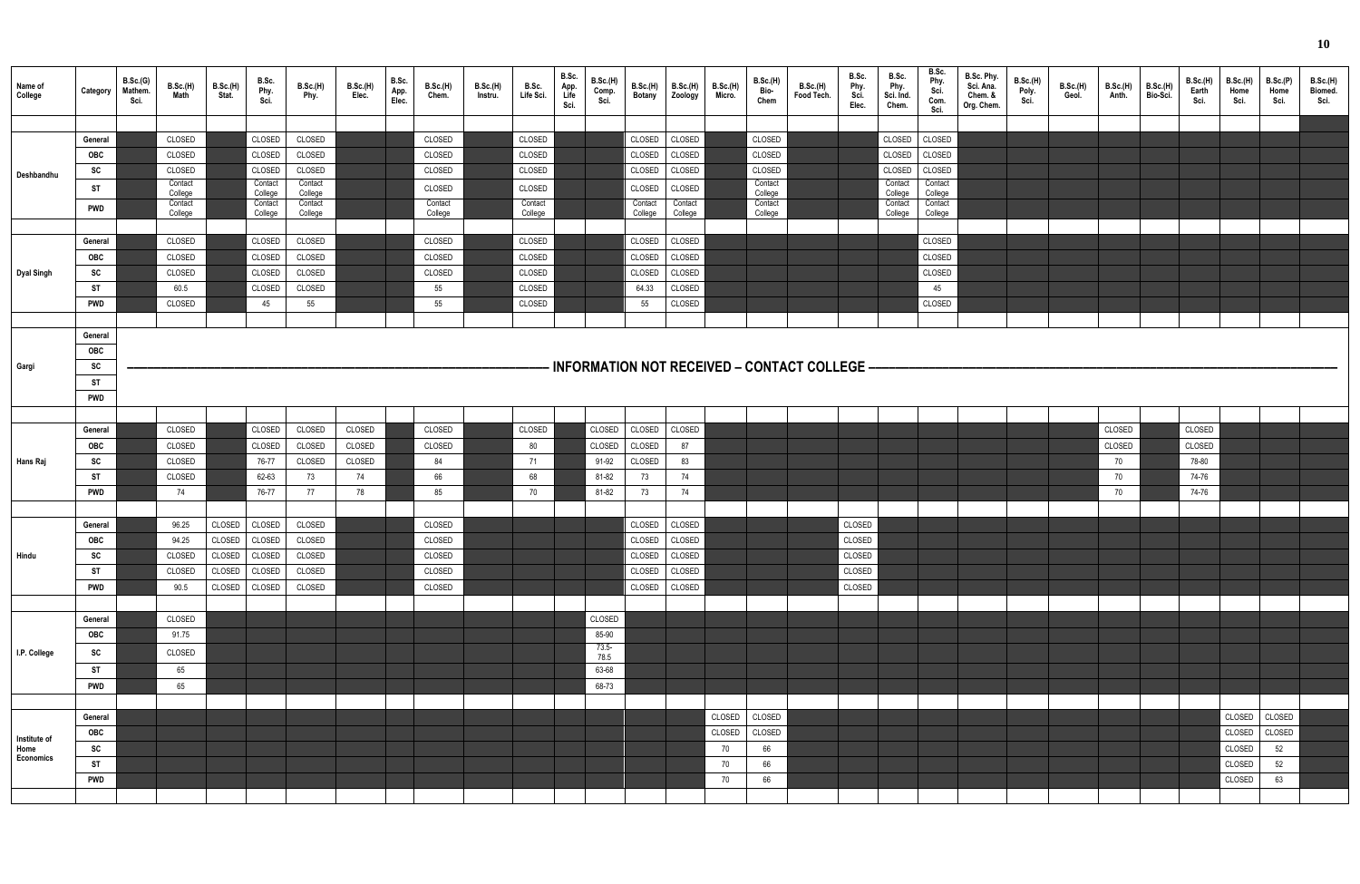| Name of<br>College | Category   | B.Sc.(G)<br>Mathem.<br>Sci. | B.Sc.(H)<br>Math   | <b>B.Sc.(H)</b><br>Stat. | B.Sc.<br>Phy.<br>Sci. | B.Sc.(H)<br>Phy.   | B.Sc.(H)<br>Elec. | B.Sc.<br>App.<br>Elec. | B.Sc.(H)<br>Chem.  | B.Sc.(H)<br>Instru. | B.Sc.<br>Life Sci. | B.Sc.<br>App.<br>Life<br>Sci. | <b>B.Sc.(H)</b><br>Comp.<br>Sci. | B.Sc.(H)<br><b>Botany</b> | <b>B.Sc.(H)</b><br>Zoology | <b>B.Sc.(H)</b><br>Micro. | B.Sc.(H)<br>Bio-<br>Chem | B.Sc.(H)<br>Food Tech.                                     | B.Sc.<br>Phy.<br>Sci.<br>Elec. | B.Sc.<br>Phy.<br>Sci. Ind.<br>Chem. | B.Sc.<br>Phy.<br>Sci.<br>Com.<br>Sci. | B.Sc. Phy.<br>Sci. Ana.<br>Chem. &<br>Org. Chem. | B.Sc.(H)<br>Poly.<br>Sci. | B.Sc.(H)<br>Geol. | <b>B.Sc.(H)</b><br>Anth. | <b>B.Sc.(H)</b><br>Bio-Sci. | B.Sc.(H)<br>Earth<br>Sci. | <b>B.Sc.(H)</b><br>Home<br>Sci. | B.Sc.(P)<br>Home<br>Sci. | B.Sc.(H)<br>Biomed.<br>Sci. |
|--------------------|------------|-----------------------------|--------------------|--------------------------|-----------------------|--------------------|-------------------|------------------------|--------------------|---------------------|--------------------|-------------------------------|----------------------------------|---------------------------|----------------------------|---------------------------|--------------------------|------------------------------------------------------------|--------------------------------|-------------------------------------|---------------------------------------|--------------------------------------------------|---------------------------|-------------------|--------------------------|-----------------------------|---------------------------|---------------------------------|--------------------------|-----------------------------|
|                    |            |                             |                    |                          |                       |                    |                   |                        |                    |                     |                    |                               |                                  |                           |                            |                           |                          |                                                            |                                |                                     |                                       |                                                  |                           |                   |                          |                             |                           |                                 |                          |                             |
|                    | General    |                             | CLOSED             |                          | CLOSED                | CLOSED             |                   |                        | CLOSED             |                     | CLOSED             |                               |                                  | CLOSED                    | CLOSED                     |                           | CLOSED                   |                                                            |                                | CLOSED                              | CLOSED                                |                                                  |                           |                   |                          |                             |                           |                                 |                          |                             |
|                    | <b>OBC</b> |                             | CLOSED             |                          | CLOSED                | CLOSED             |                   |                        | CLOSED             |                     | CLOSED             |                               |                                  | CLOSED                    | CLOSED                     |                           | CLOSED                   |                                                            |                                | CLOSED                              | CLOSED                                |                                                  |                           |                   |                          |                             |                           |                                 |                          |                             |
|                    | SC         |                             | CLOSED             |                          | CLOSED                | CLOSED             |                   |                        | CLOSED             |                     | CLOSED             |                               |                                  | CLOSED                    | CLOSED                     |                           | CLOSED                   |                                                            |                                | CLOSED                              | CLOSED                                |                                                  |                           |                   |                          |                             |                           |                                 |                          |                             |
| Deshbandhu         |            |                             | Contact            |                          | Contact               | Contact            |                   |                        |                    |                     |                    |                               |                                  |                           |                            |                           | Contact                  |                                                            |                                | Contact                             | Contact                               |                                                  |                           |                   |                          |                             |                           |                                 |                          |                             |
|                    | -ST        |                             | College            |                          | College               | College            |                   |                        | CLOSED             |                     | CLOSED             |                               |                                  | CLOSED                    | CLOSED                     |                           | College                  |                                                            |                                | College                             | College                               |                                                  |                           |                   |                          |                             |                           |                                 |                          |                             |
|                    | <b>PWD</b> |                             | Contact<br>College |                          | Contact<br>College    | Contact<br>College |                   |                        | Contact<br>College |                     | Contact<br>College |                               |                                  | Contact<br>College        | Contact<br>College         |                           | Contact<br>College       |                                                            |                                | Contact<br>College                  | Contact<br>College                    |                                                  |                           |                   |                          |                             |                           |                                 |                          |                             |
|                    |            |                             |                    |                          |                       |                    |                   |                        |                    |                     |                    |                               |                                  |                           |                            |                           |                          |                                                            |                                |                                     |                                       |                                                  |                           |                   |                          |                             |                           |                                 |                          |                             |
|                    | General    |                             | CLOSED             |                          | CLOSED                | CLOSED             |                   |                        | CLOSED             |                     | CLOSED             |                               |                                  | CLOSED                    | CLOSED                     |                           |                          |                                                            |                                |                                     | CLOSED                                |                                                  |                           |                   |                          |                             |                           |                                 |                          |                             |
|                    | <b>OBC</b> |                             | CLOSED             |                          | CLOSED                | CLOSED             |                   |                        | CLOSED             |                     | CLOSED             |                               |                                  | CLOSED                    | CLOSED                     |                           |                          |                                                            |                                |                                     | CLOSED                                |                                                  |                           |                   |                          |                             |                           |                                 |                          |                             |
| Dyal Singh         | SC         |                             | CLOSED             |                          | CLOSED                | CLOSED             |                   |                        | CLOSED             |                     | CLOSED             |                               |                                  | CLOSED                    | CLOSED                     |                           |                          |                                                            |                                |                                     | CLOSED                                |                                                  |                           |                   |                          |                             |                           |                                 |                          |                             |
|                    | <b>ST</b>  |                             | 60.5               |                          | CLOSED                | CLOSED             |                   |                        | 55                 |                     | CLOSED             |                               |                                  | 64.33                     | CLOSED                     |                           |                          |                                                            |                                |                                     | 45                                    |                                                  |                           |                   |                          |                             |                           |                                 |                          |                             |
|                    | <b>PWD</b> |                             | CLOSED             |                          | 45                    | 55                 |                   |                        | 55                 |                     | CLOSED             |                               |                                  | 55                        | CLOSED                     |                           |                          |                                                            |                                |                                     | CLOSED                                |                                                  |                           |                   |                          |                             |                           |                                 |                          |                             |
|                    |            |                             |                    |                          |                       |                    |                   |                        |                    |                     |                    |                               |                                  |                           |                            |                           |                          |                                                            |                                |                                     |                                       |                                                  |                           |                   |                          |                             |                           |                                 |                          |                             |
|                    | General    |                             |                    |                          |                       |                    |                   |                        |                    |                     |                    |                               |                                  |                           |                            |                           |                          |                                                            |                                |                                     |                                       |                                                  |                           |                   |                          |                             |                           |                                 |                          |                             |
|                    | OBC        |                             |                    |                          |                       |                    |                   |                        |                    |                     |                    |                               |                                  |                           |                            |                           |                          |                                                            |                                |                                     |                                       |                                                  |                           |                   |                          |                             |                           |                                 |                          |                             |
| Gargi              | SC         |                             |                    |                          |                       |                    |                   |                        |                    |                     |                    |                               |                                  |                           |                            |                           |                          | $\cdot$ INFORMATION NOT RECEIVED – CONTACT COLLEGE $\cdot$ |                                |                                     |                                       |                                                  |                           |                   |                          |                             |                           |                                 |                          |                             |
|                    | <b>ST</b>  |                             |                    |                          |                       |                    |                   |                        |                    |                     |                    |                               |                                  |                           |                            |                           |                          |                                                            |                                |                                     |                                       |                                                  |                           |                   |                          |                             |                           |                                 |                          |                             |
|                    | <b>PWD</b> |                             |                    |                          |                       |                    |                   |                        |                    |                     |                    |                               |                                  |                           |                            |                           |                          |                                                            |                                |                                     |                                       |                                                  |                           |                   |                          |                             |                           |                                 |                          |                             |
|                    |            |                             |                    |                          |                       |                    |                   |                        |                    |                     |                    |                               |                                  |                           |                            |                           |                          |                                                            |                                |                                     |                                       |                                                  |                           |                   |                          |                             |                           |                                 |                          |                             |
|                    | General    |                             | CLOSED             |                          | CLOSED                | CLOSED             | CLOSED            |                        | CLOSED             |                     | CLOSED             |                               | CLOSED                           | CLOSED                    | CLOSED                     |                           |                          |                                                            |                                |                                     |                                       |                                                  |                           |                   | CLOSED                   |                             | CLOSED                    |                                 |                          |                             |
|                    | <b>OBC</b> |                             | CLOSED             |                          | CLOSED                | CLOSED             | CLOSED            |                        | CLOSED             |                     | 80                 |                               | CLOSED                           | CLOSED                    | 87                         |                           |                          |                                                            |                                |                                     |                                       |                                                  |                           |                   | CLOSED                   |                             | CLOSED                    |                                 |                          |                             |
| Hans Raj           | SC         |                             | CLOSED             |                          | 76-77                 | CLOSED             | CLOSED            |                        | 84                 |                     | 71                 |                               | 91-92                            | CLOSED                    | 83                         |                           |                          |                                                            |                                |                                     |                                       |                                                  |                           |                   | 70                       |                             | 78-80                     |                                 |                          |                             |
|                    | <b>ST</b>  |                             | CLOSED             |                          | 62-63                 | 73                 | 74                |                        | 66                 |                     | 68                 |                               | 81-82                            | 73                        | 74                         |                           |                          |                                                            |                                |                                     |                                       |                                                  |                           |                   | 70                       |                             | 74-76                     |                                 |                          |                             |
|                    | <b>PWD</b> |                             | 74                 |                          | 76-77                 | 77                 | 78                |                        | 85                 |                     | 70                 |                               | 81-82                            | 73                        | 74                         |                           |                          |                                                            |                                |                                     |                                       |                                                  |                           |                   | 70                       |                             | 74-76                     |                                 |                          |                             |
|                    |            |                             |                    |                          |                       |                    |                   |                        |                    |                     |                    |                               |                                  |                           |                            |                           |                          |                                                            |                                |                                     |                                       |                                                  |                           |                   |                          |                             |                           |                                 |                          |                             |
|                    | General    |                             | 96.25              | CLOSED                   | CLOSED                | CLOSED             |                   |                        | CLOSED             |                     |                    |                               |                                  | CLOSED CLOSED             |                            |                           |                          |                                                            | CLOSED                         |                                     |                                       |                                                  |                           |                   |                          |                             |                           |                                 |                          |                             |
|                    | <b>OBC</b> |                             | 94.25              | CLOSED                   | CLOSED                | CLOSED             |                   |                        | CLOSED             |                     |                    |                               |                                  | CLOSED CLOSED             |                            |                           |                          |                                                            | CLOSED                         |                                     |                                       |                                                  |                           |                   |                          |                             |                           |                                 |                          |                             |
| Hindu              | SC         |                             | CLOSED             | CLOSED                   | CLOSED                | CLOSED             |                   |                        | CLOSED             |                     |                    |                               |                                  | CLOSED CLOSED             |                            |                           |                          |                                                            | CLOSED                         |                                     |                                       |                                                  |                           |                   |                          |                             |                           |                                 |                          |                             |
|                    | <b>ST</b>  |                             | CLOSED             | CLOSED                   | CLOSED                | CLOSED             |                   |                        | CLOSED             |                     |                    |                               |                                  | CLOSED CLOSED             |                            |                           |                          |                                                            | CLOSED                         |                                     |                                       |                                                  |                           |                   |                          |                             |                           |                                 |                          |                             |
|                    | <b>PWD</b> |                             | 90.5               | CLOSED                   | CLOSED                | CLOSED             |                   |                        | CLOSED             |                     |                    |                               |                                  | CLOSED CLOSED             |                            |                           |                          |                                                            | CLOSED                         |                                     |                                       |                                                  |                           |                   |                          |                             |                           |                                 |                          |                             |
|                    |            |                             |                    |                          |                       |                    |                   |                        |                    |                     |                    |                               |                                  |                           |                            |                           |                          |                                                            |                                |                                     |                                       |                                                  |                           |                   |                          |                             |                           |                                 |                          |                             |
|                    | General    |                             | CLOSED             |                          |                       |                    |                   |                        |                    |                     |                    |                               | CLOSED                           |                           |                            |                           |                          |                                                            |                                |                                     |                                       |                                                  |                           |                   |                          |                             |                           |                                 |                          |                             |
|                    | OBC        |                             | 91.75              |                          |                       |                    |                   |                        |                    |                     |                    |                               | 85-90                            |                           |                            |                           |                          |                                                            |                                |                                     |                                       |                                                  |                           |                   |                          |                             |                           |                                 |                          |                             |
| I.P. College       | SC         |                             | CLOSED             |                          |                       |                    |                   |                        |                    |                     |                    |                               | $73.5 -$                         |                           |                            |                           |                          |                                                            |                                |                                     |                                       |                                                  |                           |                   |                          |                             |                           |                                 |                          |                             |
|                    |            |                             |                    |                          |                       |                    |                   |                        |                    |                     |                    |                               | 78.5                             |                           |                            |                           |                          |                                                            |                                |                                     |                                       |                                                  |                           |                   |                          |                             |                           |                                 |                          |                             |
|                    | ST         |                             | 65                 |                          |                       |                    |                   |                        |                    |                     |                    |                               | 63-68                            |                           |                            |                           |                          |                                                            |                                |                                     |                                       |                                                  |                           |                   |                          |                             |                           |                                 |                          |                             |
|                    | <b>PWD</b> |                             | 65                 |                          |                       |                    |                   |                        |                    |                     |                    |                               | 68-73                            |                           |                            |                           |                          |                                                            |                                |                                     |                                       |                                                  |                           |                   |                          |                             |                           |                                 |                          |                             |
|                    |            |                             |                    |                          |                       |                    |                   |                        |                    |                     |                    |                               |                                  |                           |                            |                           |                          |                                                            |                                |                                     |                                       |                                                  |                           |                   |                          |                             |                           |                                 |                          |                             |
|                    | General    |                             |                    |                          |                       |                    |                   |                        |                    |                     |                    |                               |                                  |                           |                            | CLOSED                    | CLOSED                   |                                                            |                                |                                     |                                       |                                                  |                           |                   |                          |                             |                           | CLOSED CLOSED                   |                          |                             |
| Institute of       | OBC        |                             |                    |                          |                       |                    |                   |                        |                    |                     |                    |                               |                                  |                           |                            | CLOSED                    | CLOSED                   |                                                            |                                |                                     |                                       |                                                  |                           |                   |                          |                             |                           | CLOSED CLOSED                   |                          |                             |
| Home<br>Economics  | SC         |                             |                    |                          |                       |                    |                   |                        |                    |                     |                    |                               |                                  |                           |                            | 70                        | 66                       |                                                            |                                |                                     |                                       |                                                  |                           |                   |                          |                             |                           | CLOSED                          | 52                       |                             |
|                    | <b>ST</b>  |                             |                    |                          |                       |                    |                   |                        |                    |                     |                    |                               |                                  |                           |                            | 70                        | 66                       |                                                            |                                |                                     |                                       |                                                  |                           |                   |                          |                             |                           | CLOSED                          | 52                       |                             |
|                    | <b>PWD</b> |                             |                    |                          |                       |                    |                   |                        |                    |                     |                    |                               |                                  |                           |                            | 70                        | 66                       |                                                            |                                |                                     |                                       |                                                  |                           |                   |                          |                             |                           | CLOSED                          | 63                       |                             |
|                    |            |                             |                    |                          |                       |                    |                   |                        |                    |                     |                    |                               |                                  |                           |                            |                           |                          |                                                            |                                |                                     |                                       |                                                  |                           |                   |                          |                             |                           |                                 |                          |                             |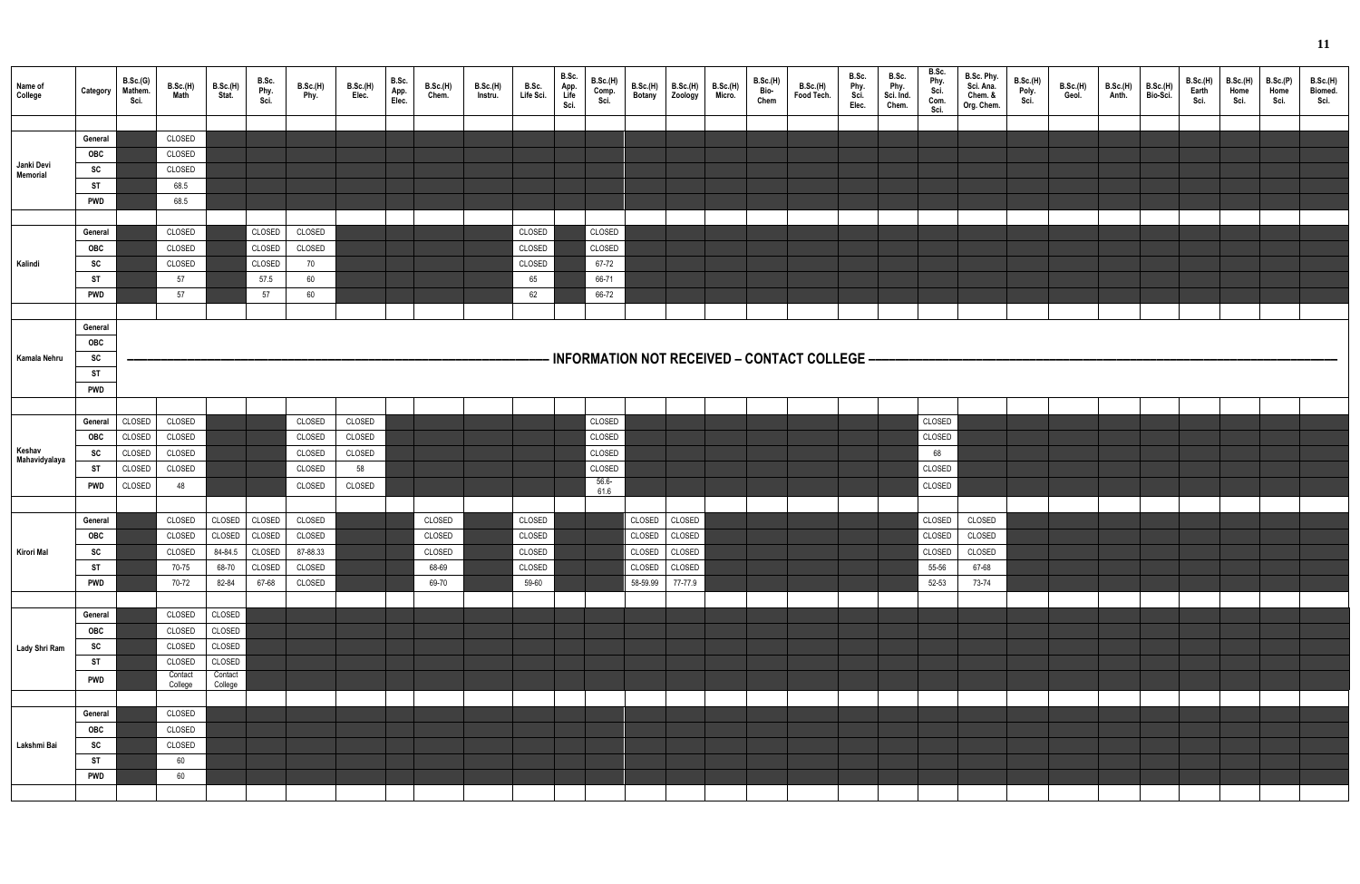| Name of<br>College     | Category   | B.Sc.(G)<br>Mathem.<br>Sci. | <b>B.Sc.(H)</b><br>Math | B.Sc.(H)<br>Stat. | B.Sc.<br>Phy.<br>Sci. | B.Sc.(H)<br>Phy. | B.Sc.(H)<br>Elec. | B.Sc.<br>App.<br>Elec. | <b>B.Sc.(H)</b><br>Chem. | B.Sc.(H)<br>Instru. | B.Sc.<br>Life Sci. | B.Sc.<br>App.<br>Life<br>Sci. | <b>B.Sc.(H)</b><br>Comp. | B.Sc.(H)<br>Botany | B.Sc.(H)<br>Zoology | B.Sc.(H)<br>Micro. | B.Sc.(H)<br>Bio-<br>Chem | <b>B.Sc.(H)</b><br>Food Tech.                | B.Sc.<br>Phy.<br>Sci.<br>Elec. | B.Sc.<br>Phy.<br>Sci. Ind.<br>Chem. | B.Sc.<br>Phy.<br>Sci.<br>Com.<br>Sci. | B.Sc. Phy.<br>Sci. Ana.<br>Chem. &<br>Org. Chem. | B.Sc.(H)<br>Poly.<br>Sci. | <b>B.Sc.(H)</b><br>Geol. | <b>B.Sc.(H)</b><br>Anth. | B.Sc.(H)<br>Bio-Sci. | <b>B.Sc.(H)</b><br>Earth<br>Sci. | <b>B.Sc.(H)</b><br>Home<br>Sci. | B.Sc.(P)<br>Home<br>Sci. | <b>B.Sc.(H)</b><br>Biomed.<br>Sci. |
|------------------------|------------|-----------------------------|-------------------------|-------------------|-----------------------|------------------|-------------------|------------------------|--------------------------|---------------------|--------------------|-------------------------------|--------------------------|--------------------|---------------------|--------------------|--------------------------|----------------------------------------------|--------------------------------|-------------------------------------|---------------------------------------|--------------------------------------------------|---------------------------|--------------------------|--------------------------|----------------------|----------------------------------|---------------------------------|--------------------------|------------------------------------|
|                        |            |                             |                         |                   |                       |                  |                   |                        |                          |                     |                    |                               |                          |                    |                     |                    |                          |                                              |                                |                                     |                                       |                                                  |                           |                          |                          |                      |                                  |                                 |                          |                                    |
|                        | General    |                             | CLOSED                  |                   |                       |                  |                   |                        |                          |                     |                    |                               |                          |                    |                     |                    |                          |                                              |                                |                                     |                                       |                                                  |                           |                          |                          |                      |                                  |                                 |                          |                                    |
|                        | <b>OBC</b> |                             | CLOSED                  |                   |                       |                  |                   |                        |                          |                     |                    |                               |                          |                    |                     |                    |                          |                                              |                                |                                     |                                       |                                                  |                           |                          |                          |                      |                                  |                                 |                          |                                    |
| Janki Devi<br>Memorial | SC         |                             | CLOSED                  |                   |                       |                  |                   |                        |                          |                     |                    |                               |                          |                    |                     |                    |                          |                                              |                                |                                     |                                       |                                                  |                           |                          |                          |                      |                                  |                                 |                          |                                    |
|                        | ST         |                             | 68.5                    |                   |                       |                  |                   |                        |                          |                     |                    |                               |                          |                    |                     |                    |                          |                                              |                                |                                     |                                       |                                                  |                           |                          |                          |                      |                                  |                                 |                          |                                    |
|                        | <b>PWD</b> |                             | 68.5                    |                   |                       |                  |                   |                        |                          |                     |                    |                               |                          |                    |                     |                    |                          |                                              |                                |                                     |                                       |                                                  |                           |                          |                          |                      |                                  |                                 |                          |                                    |
|                        |            |                             |                         |                   |                       |                  |                   |                        |                          |                     |                    |                               |                          |                    |                     |                    |                          |                                              |                                |                                     |                                       |                                                  |                           |                          |                          |                      |                                  |                                 |                          |                                    |
|                        | General    |                             | CLOSED                  |                   | CLOSED                | CLOSED           |                   |                        |                          |                     | CLOSED             |                               | CLOSED                   |                    |                     |                    |                          |                                              |                                |                                     |                                       |                                                  |                           |                          |                          |                      |                                  |                                 |                          |                                    |
|                        | <b>OBC</b> |                             | CLOSED                  |                   | CLOSED                | CLOSED           |                   |                        |                          |                     | CLOSED             |                               | CLOSED                   |                    |                     |                    |                          |                                              |                                |                                     |                                       |                                                  |                           |                          |                          |                      |                                  |                                 |                          |                                    |
| Kalindi                | SC         |                             | CLOSED                  |                   | CLOSED                | 70               |                   |                        |                          |                     | CLOSED             |                               | 67-72                    |                    |                     |                    |                          |                                              |                                |                                     |                                       |                                                  |                           |                          |                          |                      |                                  |                                 |                          |                                    |
|                        | ST         |                             | 57                      |                   | 57.5                  | 60               |                   |                        |                          |                     | 65                 |                               | 66-71                    |                    |                     |                    |                          |                                              |                                |                                     |                                       |                                                  |                           |                          |                          |                      |                                  |                                 |                          |                                    |
|                        | <b>PWD</b> |                             | 57                      |                   | 57                    | 60               |                   |                        |                          |                     | 62                 |                               | 66-72                    |                    |                     |                    |                          |                                              |                                |                                     |                                       |                                                  |                           |                          |                          |                      |                                  |                                 |                          |                                    |
|                        |            |                             |                         |                   |                       |                  |                   |                        |                          |                     |                    |                               |                          |                    |                     |                    |                          |                                              |                                |                                     |                                       |                                                  |                           |                          |                          |                      |                                  |                                 |                          |                                    |
|                        | General    |                             |                         |                   |                       |                  |                   |                        |                          |                     |                    |                               |                          |                    |                     |                    |                          |                                              |                                |                                     |                                       |                                                  |                           |                          |                          |                      |                                  |                                 |                          |                                    |
|                        | OBC        |                             |                         |                   |                       |                  |                   |                        |                          |                     |                    |                               |                          |                    |                     |                    |                          |                                              |                                |                                     |                                       |                                                  |                           |                          |                          |                      |                                  |                                 |                          |                                    |
| Kamala Nehru           | SC         |                             |                         |                   |                       |                  |                   |                        |                          |                     |                    |                               |                          |                    |                     |                    |                          | INFORMATION NOT RECEIVED - CONTACT COLLEGE - |                                |                                     |                                       |                                                  |                           |                          |                          |                      |                                  |                                 |                          |                                    |
|                        | <b>ST</b>  |                             |                         |                   |                       |                  |                   |                        |                          |                     |                    |                               |                          |                    |                     |                    |                          |                                              |                                |                                     |                                       |                                                  |                           |                          |                          |                      |                                  |                                 |                          |                                    |
|                        | <b>PWD</b> |                             |                         |                   |                       |                  |                   |                        |                          |                     |                    |                               |                          |                    |                     |                    |                          |                                              |                                |                                     |                                       |                                                  |                           |                          |                          |                      |                                  |                                 |                          |                                    |
|                        |            |                             |                         |                   |                       |                  |                   |                        |                          |                     |                    |                               |                          |                    |                     |                    |                          |                                              |                                |                                     |                                       |                                                  |                           |                          |                          |                      |                                  |                                 |                          |                                    |
|                        |            |                             |                         |                   |                       |                  |                   |                        |                          |                     |                    |                               |                          |                    |                     |                    |                          |                                              |                                |                                     |                                       |                                                  |                           |                          |                          |                      |                                  |                                 |                          |                                    |
|                        | General    | CLOSED                      | CLOSED                  |                   |                       | CLOSED           | CLOSED            |                        |                          |                     |                    |                               | CLOSED                   |                    |                     |                    |                          |                                              |                                |                                     | CLOSED                                |                                                  |                           |                          |                          |                      |                                  |                                 |                          |                                    |
| Keshav                 | <b>OBC</b> | CLOSED                      | CLOSED                  |                   |                       | CLOSED           | CLOSED            |                        |                          |                     |                    |                               | CLOSED                   |                    |                     |                    |                          |                                              |                                |                                     | CLOSED                                |                                                  |                           |                          |                          |                      |                                  |                                 |                          |                                    |
| Mahavidyalaya          | <b>SC</b>  | CLOSED                      | CLOSED                  |                   |                       | CLOSED           | CLOSED            |                        |                          |                     |                    |                               | CLOSED                   |                    |                     |                    |                          |                                              |                                |                                     | 68                                    |                                                  |                           |                          |                          |                      |                                  |                                 |                          |                                    |
|                        | <b>ST</b>  | CLOSED                      | CLOSED                  |                   |                       | CLOSED           | 58                |                        |                          |                     |                    |                               | CLOSED                   |                    |                     |                    |                          |                                              |                                |                                     | CLOSED                                |                                                  |                           |                          |                          |                      |                                  |                                 |                          |                                    |
|                        | <b>PWD</b> | CLOSED                      | 48                      |                   |                       | CLOSED           | CLOSED            |                        |                          |                     |                    |                               | $56.6 -$<br>61.6         |                    |                     |                    |                          |                                              |                                |                                     | CLOSED                                |                                                  |                           |                          |                          |                      |                                  |                                 |                          |                                    |
|                        |            |                             |                         |                   |                       |                  |                   |                        |                          |                     |                    |                               |                          |                    |                     |                    |                          |                                              |                                |                                     |                                       |                                                  |                           |                          |                          |                      |                                  |                                 |                          |                                    |
|                        | General    |                             | CLOSED                  | CLOSED            | CLOSED                | CLOSED           |                   |                        | CLOSED                   |                     | CLOSED             |                               |                          | CLOSED             | CLOSED              |                    |                          |                                              |                                |                                     | CLOSED                                | CLOSED                                           |                           |                          |                          |                      |                                  |                                 |                          |                                    |
|                        | OBC        |                             | CLOSED                  | CLOSED CLOSED     |                       | CLOSED           |                   |                        | CLOSED                   |                     | CLOSED             |                               |                          | CLOSED CLOSED      |                     |                    |                          |                                              |                                |                                     | CLOSED                                | CLOSED                                           |                           |                          |                          |                      |                                  |                                 |                          |                                    |
| Kirori Mal             | SC         |                             | CLOSED                  | 84-84.5           | CLOSED                | 87-88.33         |                   |                        | CLOSED                   |                     | CLOSED             |                               |                          |                    | CLOSED CLOSED       |                    |                          |                                              |                                |                                     | CLOSED                                | CLOSED                                           |                           |                          |                          |                      |                                  |                                 |                          |                                    |
|                        | <b>ST</b>  |                             | 70-75                   | 68-70             | CLOSED                | CLOSED           |                   |                        | 68-69                    |                     | CLOSED             |                               |                          |                    | CLOSED CLOSED       |                    |                          |                                              |                                |                                     | 55-56                                 | 67-68                                            |                           |                          |                          |                      |                                  |                                 |                          |                                    |
|                        | <b>PWD</b> |                             | 70-72                   | 82-84             | 67-68                 | CLOSED           |                   |                        | 69-70                    |                     | 59-60              |                               |                          |                    | 58-59.99 77-77.9    |                    |                          |                                              |                                |                                     | 52-53                                 | 73-74                                            |                           |                          |                          |                      |                                  |                                 |                          |                                    |
|                        |            |                             |                         |                   |                       |                  |                   |                        |                          |                     |                    |                               |                          |                    |                     |                    |                          |                                              |                                |                                     |                                       |                                                  |                           |                          |                          |                      |                                  |                                 |                          |                                    |
|                        | General    |                             | CLOSED                  | CLOSED            |                       |                  |                   |                        |                          |                     |                    |                               |                          |                    |                     |                    |                          |                                              |                                |                                     |                                       |                                                  |                           |                          |                          |                      |                                  |                                 |                          |                                    |
|                        | OBC        |                             | CLOSED                  | CLOSED            |                       |                  |                   |                        |                          |                     |                    |                               |                          |                    |                     |                    |                          |                                              |                                |                                     |                                       |                                                  |                           |                          |                          |                      |                                  |                                 |                          |                                    |
|                        | SC         |                             | CLOSED                  | CLOSED            |                       |                  |                   |                        |                          |                     |                    |                               |                          |                    |                     |                    |                          |                                              |                                |                                     |                                       |                                                  |                           |                          |                          |                      |                                  |                                 |                          |                                    |
| Lady Shri Ram          | <b>ST</b>  |                             | CLOSED                  | CLOSED            |                       |                  |                   |                        |                          |                     |                    |                               |                          |                    |                     |                    |                          |                                              |                                |                                     |                                       |                                                  |                           |                          |                          |                      |                                  |                                 |                          |                                    |
|                        |            |                             | Contact                 | Contact           |                       |                  |                   |                        |                          |                     |                    |                               |                          |                    |                     |                    |                          |                                              |                                |                                     |                                       |                                                  |                           |                          |                          |                      |                                  |                                 |                          |                                    |
|                        | <b>PWD</b> |                             | College                 | College           |                       |                  |                   |                        |                          |                     |                    |                               |                          |                    |                     |                    |                          |                                              |                                |                                     |                                       |                                                  |                           |                          |                          |                      |                                  |                                 |                          |                                    |
|                        |            |                             |                         |                   |                       |                  |                   |                        |                          |                     |                    |                               |                          |                    |                     |                    |                          |                                              |                                |                                     |                                       |                                                  |                           |                          |                          |                      |                                  |                                 |                          |                                    |
|                        | General    |                             | CLOSED                  |                   |                       |                  |                   |                        |                          |                     |                    |                               |                          |                    |                     |                    |                          |                                              |                                |                                     |                                       |                                                  |                           |                          |                          |                      |                                  |                                 |                          |                                    |
|                        | OBC        |                             | CLOSED                  |                   |                       |                  |                   |                        |                          |                     |                    |                               |                          |                    |                     |                    |                          |                                              |                                |                                     |                                       |                                                  |                           |                          |                          |                      |                                  |                                 |                          |                                    |
| Lakshmi Bai            | SC         |                             | CLOSED                  |                   |                       |                  |                   |                        |                          |                     |                    |                               |                          |                    |                     |                    |                          |                                              |                                |                                     |                                       |                                                  |                           |                          |                          |                      |                                  |                                 |                          |                                    |
|                        | <b>ST</b>  |                             | 60                      |                   |                       |                  |                   |                        |                          |                     |                    |                               |                          |                    |                     |                    |                          |                                              |                                |                                     |                                       |                                                  |                           |                          |                          |                      |                                  |                                 |                          |                                    |
|                        | <b>PWD</b> |                             | 60                      |                   |                       |                  |                   |                        |                          |                     |                    |                               |                          |                    |                     |                    |                          |                                              |                                |                                     |                                       |                                                  |                           |                          |                          |                      |                                  |                                 |                          |                                    |
|                        |            |                             |                         |                   |                       |                  |                   |                        |                          |                     |                    |                               |                          |                    |                     |                    |                          |                                              |                                |                                     |                                       |                                                  |                           |                          |                          |                      |                                  |                                 |                          |                                    |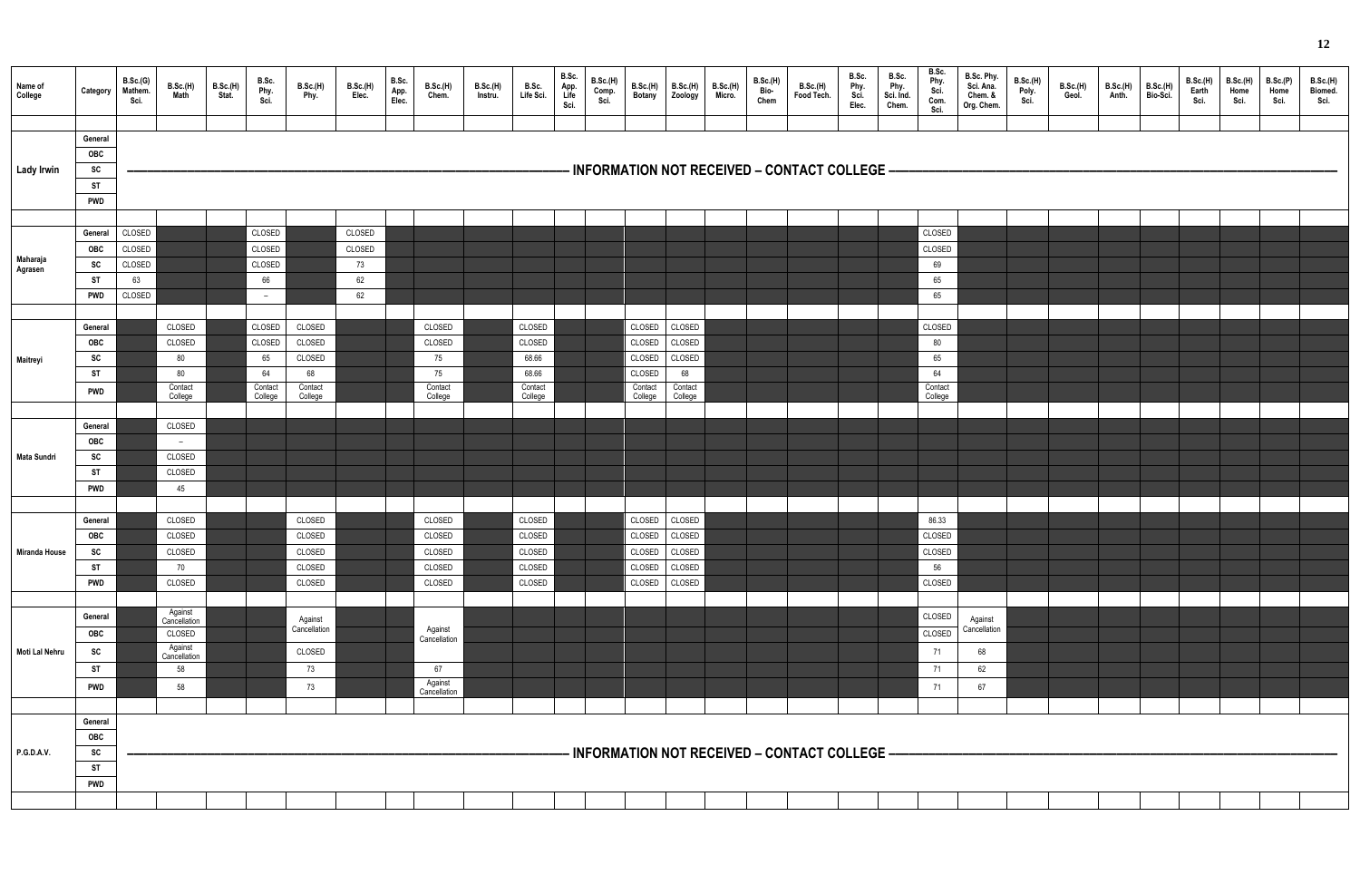| Name of<br>College  | Category                                                      | B.Sc.(G)<br>Mathem.<br>Sci.                | B.Sc.(H)<br>Math                                                         | <b>B.Sc.(H)</b><br>Stat. | B.Sc.<br>Phy.<br>Sci.                              | B.Sc.(H)<br>Phy.                                       | B.Sc.(H)<br>Elec.                  | B.Sc.<br>App.<br>Elec. | <b>B.Sc.(H)</b><br>Chem.                                 | <b>B.Sc.(H)</b><br>Instru. | B.Sc.<br>Life Sci.                                       | B.Sc.<br>App.<br>Life<br>Sci. | <b>B.Sc.(H)</b><br>Comp. | B.Sc.(H)<br><b>Botany</b>                                  | B.Sc.(H)<br>Zoology                                    | <b>B.Sc.(H)</b><br>Micro. | B.Sc.(H)<br>Bio<br>Chem | B.Sc.(H)<br>Food Tech.                       | B.Sc.<br>Phy.<br>Sci.<br>Elec. | B.Sc.<br>Phy.<br>Sci. Ind.<br>Chem. | B.Sc.<br>Phy.<br>Sci.<br>Com.<br>Sci.          | B.Sc. Phy.<br>Sci. Ana.<br>Chem. &<br>Org. Chem. | <b>B.Sc.(H)</b><br>Poly.<br>Sci. | B.Sc.(H)<br>Geol. | B.Sc.(H)<br>Anth. | B.Sc.(H)<br>Bio-Sci. | B.Sc.(H)<br>Earth<br>Sci. | <b>B.Sc.(H)</b><br>Home<br>Sci. | B.Sc.(P)<br>Home<br>Sci. | <b>B.Sc.(H)</b><br>Biomed.<br>Sci. |
|---------------------|---------------------------------------------------------------|--------------------------------------------|--------------------------------------------------------------------------|--------------------------|----------------------------------------------------|--------------------------------------------------------|------------------------------------|------------------------|----------------------------------------------------------|----------------------------|----------------------------------------------------------|-------------------------------|--------------------------|------------------------------------------------------------|--------------------------------------------------------|---------------------------|-------------------------|----------------------------------------------|--------------------------------|-------------------------------------|------------------------------------------------|--------------------------------------------------|----------------------------------|-------------------|-------------------|----------------------|---------------------------|---------------------------------|--------------------------|------------------------------------|
| <b>Lady Irwin</b>   | General<br>OBC<br>SC<br><b>ST</b><br><b>PWD</b>               |                                            |                                                                          |                          |                                                    |                                                        |                                    |                        |                                                          |                            |                                                          |                               |                          |                                                            |                                                        |                           |                         | INFORMATION NOT RECEIVED - CONTACT COLLEGE - |                                |                                     |                                                |                                                  |                                  |                   |                   |                      |                           |                                 |                          |                                    |
| Maharaja<br>Agrasen | General<br><b>OBC</b><br><b>SC</b><br><b>ST</b><br><b>PWD</b> | CLOSED<br>CLOSED<br>CLOSED<br>63<br>CLOSED |                                                                          |                          | CLOSED<br>CLOSED<br>CLOSED<br>66<br>$\sim$         |                                                        | CLOSED<br>CLOSED<br>73<br>62<br>62 |                        |                                                          |                            |                                                          |                               |                          |                                                            |                                                        |                           |                         |                                              |                                |                                     | CLOSED<br>CLOSED<br>69<br>65<br>65             |                                                  |                                  |                   |                   |                      |                           |                                 |                          |                                    |
| Maitreyi            | General<br>OBC<br>SC<br><b>ST</b><br><b>PWD</b>               |                                            | CLOSED<br>CLOSED<br>80<br>80<br>Contact<br>College                       |                          | CLOSED<br>CLOSED<br>65<br>64<br>Contact<br>College | CLOSED<br>CLOSED<br>CLOSED<br>68<br>Contact<br>College |                                    |                        | CLOSED<br>CLOSED<br>75<br>75<br>Contact<br>College       |                            | CLOSED<br>CLOSED<br>68.66<br>68.66<br>Contact<br>College |                               |                          | CLOSED<br>CLOSED<br>CLOSED<br>CLOSED<br>Contact<br>College | CLOSED<br>CLOSED<br>CLOSED<br>68<br>Contact<br>College |                           |                         |                                              |                                |                                     | CLOSED<br>80<br>65<br>64<br>Contact<br>College |                                                  |                                  |                   |                   |                      |                           |                                 |                          |                                    |
| <b>Mata Sundri</b>  | General<br>OBC<br>SC<br><b>ST</b><br><b>PWD</b>               |                                            | CLOSED<br>$\overline{a}$<br>CLOSED<br>CLOSED<br>45                       |                          |                                                    |                                                        |                                    |                        |                                                          |                            |                                                          |                               |                          |                                                            |                                                        |                           |                         |                                              |                                |                                     |                                                |                                                  |                                  |                   |                   |                      |                           |                                 |                          |                                    |
| Miranda House       | General<br>OBC<br>SC<br><b>ST</b><br><b>PWD</b>               |                                            | CLOSED<br>CLOSED<br>CLOSED<br>70<br>CLOSED                               |                          |                                                    | CLOSED<br>CLOSED<br>CLOSED<br>CLOSED<br>CLOSED         |                                    |                        | CLOSED<br>CLOSED<br>CLOSED<br>CLOSED<br>CLOSED           |                            | CLOSED<br>CLOSED<br>CLOSED<br>CLOSED<br>CLOSED           |                               |                          | CLOSED<br>CLOSED<br>CLOSED<br>CLOSED                       | CLOSED<br>CLOSED CLOSED<br>CLOSED<br>CLOSED<br>CLOSED  |                           |                         |                                              |                                |                                     | 86.33<br>CLOSED<br>CLOSED<br>56<br>CLOSED      |                                                  |                                  |                   |                   |                      |                           |                                 |                          |                                    |
| Moti Lal Nehru      | General<br>OBC<br><b>SC</b><br><b>ST</b><br><b>PWD</b>        |                                            | Against<br>Cancellation<br>CLOSED<br>Against<br>Cancellation<br>58<br>58 |                          |                                                    | Against<br>Cancellation<br>CLOSED<br>73<br>73          |                                    |                        | Against<br>Cancellation<br>67<br>Against<br>Cancellation |                            |                                                          |                               |                          |                                                            |                                                        |                           |                         |                                              |                                |                                     | CLOSED<br>CLOSED<br>71<br>71<br>71             | Against<br>Cancellation<br>68<br>62<br>67        |                                  |                   |                   |                      |                           |                                 |                          |                                    |
| <b>P.G.D.A.V.</b>   | General<br>OBC<br>SC<br><b>ST</b><br><b>PWD</b>               |                                            |                                                                          |                          |                                                    |                                                        |                                    |                        |                                                          |                            |                                                          |                               |                          |                                                            |                                                        |                           |                         | INFORMATION NOT RECEIVED - CONTACT COLLEGE - |                                |                                     |                                                |                                                  |                                  |                   |                   |                      |                           |                                 |                          |                                    |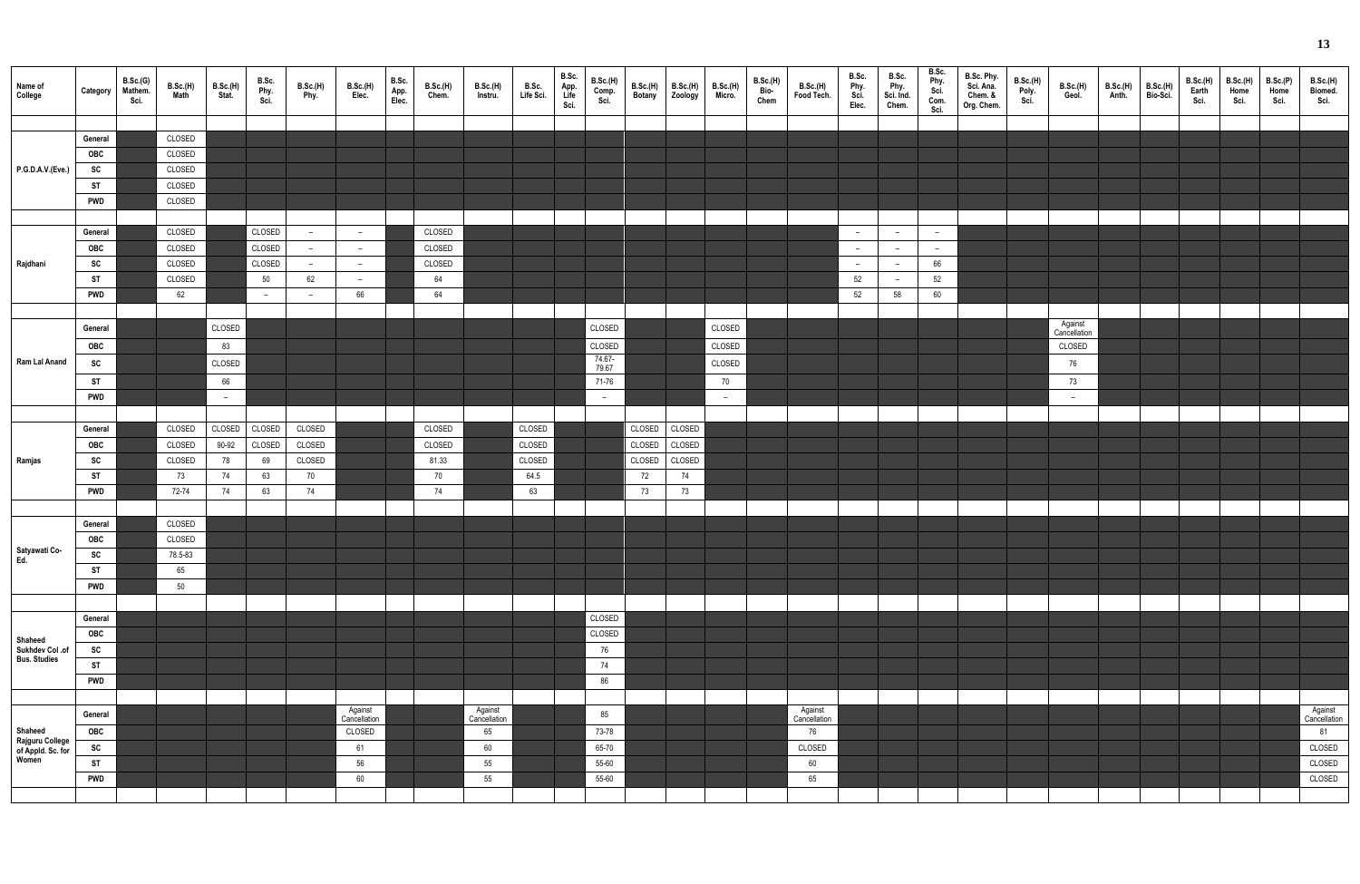| Name of<br>College                                       | Category   | B.Sc.(G)<br>Mathem.<br>Sci. | B.Sc.(H)<br>Math | B.Sc.(H)<br>Stat. | B.Sc.<br>Phy.<br>Sci. | B.Sc.(H)<br>Phy.         | B.Sc.(H)<br>Elec.        | B.Sc.<br>App.<br>Elec. | B.Sc.(H)<br>Chem. | <b>B.Sc.(H)</b><br>Instru. | B.Sc.<br>Life Sci. | B.Sc.<br>App.<br>Life<br>Sci. | <b>B.Sc.(H)</b><br>Comp.<br>Sci. | B.Sc.(H)<br>Botany | <b>B.Sc.(H)</b><br><b>Zoology</b> | B.Sc.(H)<br>Micro. | B.Sc.(H)<br>Bio<br>Chem | <b>B.Sc.(H)</b><br>Food Tech. | B.Sc.<br>Phy.<br>Sci.<br>Elec. | B.Sc.<br>Phy.<br>Sci. Ind.<br>Chem. | B.Sc.<br>Phy.<br>Sci.<br>Com.<br>Sci. | B.Sc. Phy.<br>Sci. Ana.<br>Chem. &<br>Org. Chem. | <b>B.Sc.(H)</b><br>Poly.<br>Sci. | B.Sc.(H)<br>Geol.        | B.Sc.(H)<br>Anth. | B.Sc.(H)<br>Bio-Sci. | B.Sc.(H)<br>Earth<br>Sci. | <b>B.Sc.(H)</b><br>Home<br>Sci. | B.Sc.(P)<br>Home<br>Sci. | B.Sc.(H)<br>Biomed.<br>Sci. |
|----------------------------------------------------------|------------|-----------------------------|------------------|-------------------|-----------------------|--------------------------|--------------------------|------------------------|-------------------|----------------------------|--------------------|-------------------------------|----------------------------------|--------------------|-----------------------------------|--------------------|-------------------------|-------------------------------|--------------------------------|-------------------------------------|---------------------------------------|--------------------------------------------------|----------------------------------|--------------------------|-------------------|----------------------|---------------------------|---------------------------------|--------------------------|-----------------------------|
|                                                          |            |                             |                  |                   |                       |                          |                          |                        |                   |                            |                    |                               |                                  |                    |                                   |                    |                         |                               |                                |                                     |                                       |                                                  |                                  |                          |                   |                      |                           |                                 |                          |                             |
|                                                          | General    |                             | CLOSED           |                   |                       |                          |                          |                        |                   |                            |                    |                               |                                  |                    |                                   |                    |                         |                               |                                |                                     |                                       |                                                  |                                  |                          |                   |                      |                           |                                 |                          |                             |
|                                                          | OBC        |                             | CLOSED           |                   |                       |                          |                          |                        |                   |                            |                    |                               |                                  |                    |                                   |                    |                         |                               |                                |                                     |                                       |                                                  |                                  |                          |                   |                      |                           |                                 |                          |                             |
| P.G.D.A.V.(Eve.)                                         | SC         |                             | CLOSED           |                   |                       |                          |                          |                        |                   |                            |                    |                               |                                  |                    |                                   |                    |                         |                               |                                |                                     |                                       |                                                  |                                  |                          |                   |                      |                           |                                 |                          |                             |
|                                                          | <b>ST</b>  |                             | CLOSED           |                   |                       |                          |                          |                        |                   |                            |                    |                               |                                  |                    |                                   |                    |                         |                               |                                |                                     |                                       |                                                  |                                  |                          |                   |                      |                           |                                 |                          |                             |
|                                                          | <b>PWD</b> |                             | CLOSED           |                   |                       |                          |                          |                        |                   |                            |                    |                               |                                  |                    |                                   |                    |                         |                               |                                |                                     |                                       |                                                  |                                  |                          |                   |                      |                           |                                 |                          |                             |
|                                                          |            |                             |                  |                   |                       |                          |                          |                        |                   |                            |                    |                               |                                  |                    |                                   |                    |                         |                               |                                |                                     |                                       |                                                  |                                  |                          |                   |                      |                           |                                 |                          |                             |
|                                                          | General    |                             | CLOSED           |                   | CLOSED                | $-$                      | $\overline{\phantom{0}}$ |                        | CLOSED            |                            |                    |                               |                                  |                    |                                   |                    |                         |                               | $\overline{a}$                 |                                     | $-$                                   |                                                  |                                  |                          |                   |                      |                           |                                 |                          |                             |
|                                                          | OBC        |                             | CLOSED           |                   | CLOSED                | $\sim$                   | $\overline{\phantom{0}}$ |                        | CLOSED            |                            |                    |                               |                                  |                    |                                   |                    |                         |                               | $\overline{a}$                 |                                     | $-$                                   |                                                  |                                  |                          |                   |                      |                           |                                 |                          |                             |
| Rajdhani                                                 | SC         |                             | CLOSED           |                   | CLOSED                | $\sim$                   | $\overline{\phantom{0}}$ |                        | CLOSED            |                            |                    |                               |                                  |                    |                                   |                    |                         |                               | $\overline{a}$                 |                                     | 66                                    |                                                  |                                  |                          |                   |                      |                           |                                 |                          |                             |
|                                                          | ST         |                             | CLOSED           |                   | 50                    | 62                       | $\overline{\phantom{0}}$ |                        | 64                |                            |                    |                               |                                  |                    |                                   |                    |                         |                               | 52                             |                                     | 52                                    |                                                  |                                  |                          |                   |                      |                           |                                 |                          |                             |
|                                                          | <b>PWD</b> |                             | 62               |                   | $-$                   | $\overline{\phantom{0}}$ | 66                       |                        | 64                |                            |                    |                               |                                  |                    |                                   |                    |                         |                               | 52                             | 58                                  | 60                                    |                                                  |                                  |                          |                   |                      |                           |                                 |                          |                             |
|                                                          |            |                             |                  |                   |                       |                          |                          |                        |                   |                            |                    |                               |                                  |                    |                                   |                    |                         |                               |                                |                                     |                                       |                                                  |                                  | Against                  |                   |                      |                           |                                 |                          |                             |
|                                                          | General    |                             |                  | CLOSED            |                       |                          |                          |                        |                   |                            |                    |                               | CLOSED                           |                    |                                   | CLOSED             |                         |                               |                                |                                     |                                       |                                                  |                                  | Cancellation             |                   |                      |                           |                                 |                          |                             |
|                                                          | OBC        |                             |                  | 83                |                       |                          |                          |                        |                   |                            |                    |                               | CLOSED                           |                    |                                   | CLOSED             |                         |                               |                                |                                     |                                       |                                                  |                                  | CLOSED                   |                   |                      |                           |                                 |                          |                             |
| Ram Lal Anand                                            | SC         |                             |                  | CLOSED            |                       |                          |                          |                        |                   |                            |                    |                               | 74.67-<br>79.67                  |                    |                                   | CLOSED             |                         |                               |                                |                                     |                                       |                                                  |                                  | 76                       |                   |                      |                           |                                 |                          |                             |
|                                                          | ST         |                             |                  | 66                |                       |                          |                          |                        |                   |                            |                    |                               | 71-76                            |                    |                                   | 70                 |                         |                               |                                |                                     |                                       |                                                  |                                  | 73                       |                   |                      |                           |                                 |                          |                             |
|                                                          | <b>PWD</b> |                             |                  | $\sim$            |                       |                          |                          |                        |                   |                            |                    |                               | $-$                              |                    |                                   | $\sim$             |                         |                               |                                |                                     |                                       |                                                  |                                  | $\overline{\phantom{m}}$ |                   |                      |                           |                                 |                          |                             |
|                                                          |            |                             |                  |                   |                       |                          |                          |                        |                   |                            |                    |                               |                                  |                    |                                   |                    |                         |                               |                                |                                     |                                       |                                                  |                                  |                          |                   |                      |                           |                                 |                          |                             |
|                                                          | General    |                             | CLOSED           | CLOSED            | CLOSED                | CLOSED                   |                          |                        | CLOSED            |                            | CLOSED             |                               |                                  | CLOSED             | CLOSED                            |                    |                         |                               |                                |                                     |                                       |                                                  |                                  |                          |                   |                      |                           |                                 |                          |                             |
|                                                          | OBC        |                             | CLOSED           | 90-92             | CLOSED                | CLOSED                   |                          |                        | CLOSED            |                            | CLOSED             |                               |                                  | CLOSED             | CLOSED                            |                    |                         |                               |                                |                                     |                                       |                                                  |                                  |                          |                   |                      |                           |                                 |                          |                             |
| Ramjas                                                   | SC         |                             | CLOSED           | 78                | 69                    | CLOSED                   |                          |                        | 81.33             |                            | CLOSED             |                               |                                  | CLOSED             | CLOSED                            |                    |                         |                               |                                |                                     |                                       |                                                  |                                  |                          |                   |                      |                           |                                 |                          |                             |
|                                                          | ST         |                             | 73               | 74                | 63                    | 70                       |                          |                        | 70                |                            | 64.5               |                               |                                  | 72                 | 74                                |                    |                         |                               |                                |                                     |                                       |                                                  |                                  |                          |                   |                      |                           |                                 |                          |                             |
|                                                          | <b>PWD</b> |                             | 72-74            | 74                | 63                    | 74                       |                          |                        | 74                |                            | 63                 |                               |                                  | 73                 | 73                                |                    |                         |                               |                                |                                     |                                       |                                                  |                                  |                          |                   |                      |                           |                                 |                          |                             |
|                                                          |            |                             |                  |                   |                       |                          |                          |                        |                   |                            |                    |                               |                                  |                    |                                   |                    |                         |                               |                                |                                     |                                       |                                                  |                                  |                          |                   |                      |                           |                                 |                          |                             |
|                                                          | General    |                             | CLOSED           |                   |                       |                          |                          |                        |                   |                            |                    |                               |                                  |                    |                                   |                    |                         |                               |                                |                                     |                                       |                                                  |                                  |                          |                   |                      |                           |                                 |                          |                             |
|                                                          | <b>OBC</b> |                             | CLOSED           |                   |                       |                          |                          |                        |                   |                            |                    |                               |                                  |                    |                                   |                    |                         |                               |                                |                                     |                                       |                                                  |                                  |                          |                   |                      |                           |                                 |                          |                             |
| Satyawati Co-<br>Ed.                                     | SC         |                             | 78.5-83          |                   |                       |                          |                          |                        |                   |                            |                    |                               |                                  |                    |                                   |                    |                         |                               |                                |                                     |                                       |                                                  |                                  |                          |                   |                      |                           |                                 |                          |                             |
|                                                          | <b>ST</b>  |                             | 65               |                   |                       |                          |                          |                        |                   |                            |                    |                               |                                  |                    |                                   |                    |                         |                               |                                |                                     |                                       |                                                  |                                  |                          |                   |                      |                           |                                 |                          |                             |
|                                                          | <b>PWD</b> |                             | 50               |                   |                       |                          |                          |                        |                   |                            |                    |                               |                                  |                    |                                   |                    |                         |                               |                                |                                     |                                       |                                                  |                                  |                          |                   |                      |                           |                                 |                          |                             |
|                                                          |            |                             |                  |                   |                       |                          |                          |                        |                   |                            |                    |                               |                                  |                    |                                   |                    |                         |                               |                                |                                     |                                       |                                                  |                                  |                          |                   |                      |                           |                                 |                          |                             |
|                                                          | General    |                             |                  |                   |                       |                          |                          |                        |                   |                            |                    |                               | CLOSED                           |                    |                                   |                    |                         |                               |                                |                                     |                                       |                                                  |                                  |                          |                   |                      |                           |                                 |                          |                             |
|                                                          | OBC        |                             |                  |                   |                       |                          |                          |                        |                   |                            |                    |                               | CLOSED                           |                    |                                   |                    |                         |                               |                                |                                     |                                       |                                                  |                                  |                          |                   |                      |                           |                                 |                          |                             |
| Shaheed<br>Sukhdev Col.of                                | <b>SC</b>  |                             |                  |                   |                       |                          |                          |                        |                   |                            |                    |                               | 76                               |                    |                                   |                    |                         |                               |                                |                                     |                                       |                                                  |                                  |                          |                   |                      |                           |                                 |                          |                             |
| <b>Bus. Studies</b>                                      | <b>ST</b>  |                             |                  |                   |                       |                          |                          |                        |                   |                            |                    |                               | 74                               |                    |                                   |                    |                         |                               |                                |                                     |                                       |                                                  |                                  |                          |                   |                      |                           |                                 |                          |                             |
|                                                          | <b>PWD</b> |                             |                  |                   |                       |                          |                          |                        |                   |                            |                    |                               | 86                               |                    |                                   |                    |                         |                               |                                |                                     |                                       |                                                  |                                  |                          |                   |                      |                           |                                 |                          |                             |
|                                                          |            |                             |                  |                   |                       |                          |                          |                        |                   |                            |                    |                               |                                  |                    |                                   |                    |                         |                               |                                |                                     |                                       |                                                  |                                  |                          |                   |                      |                           |                                 |                          |                             |
|                                                          | General    |                             |                  |                   |                       |                          | Against                  |                        |                   | Against                    |                    |                               | 85                               |                    |                                   |                    |                         | Against                       |                                |                                     |                                       |                                                  |                                  |                          |                   |                      |                           |                                 |                          | Against<br>Cancellation     |
|                                                          | <b>OBC</b> |                             |                  |                   |                       |                          | Cancellation<br>CLOSED   |                        |                   | Cancellation<br>65         |                    |                               | 73-78                            |                    |                                   |                    |                         | Cancellation<br>76            |                                |                                     |                                       |                                                  |                                  |                          |                   |                      |                           |                                 |                          | 81                          |
|                                                          | SC         |                             |                  |                   |                       |                          | 61                       |                        |                   | 60                         |                    |                               | 65-70                            |                    |                                   |                    |                         | CLOSED                        |                                |                                     |                                       |                                                  |                                  |                          |                   |                      |                           |                                 |                          | CLOSED                      |
| Shaheed<br>Rajguru College<br>of Appld. Sc. for<br>Women | <b>ST</b>  |                             |                  |                   |                       |                          | 56                       |                        |                   | 55                         |                    |                               | 55-60                            |                    |                                   |                    |                         | 60                            |                                |                                     |                                       |                                                  |                                  |                          |                   |                      |                           |                                 |                          | CLOSED                      |
|                                                          | <b>PWD</b> |                             |                  |                   |                       |                          | $60\,$                   |                        |                   | 55                         |                    |                               | 55-60                            |                    |                                   |                    |                         | 65                            |                                |                                     |                                       |                                                  |                                  |                          |                   |                      |                           |                                 |                          | CLOSED                      |
|                                                          |            |                             |                  |                   |                       |                          |                          |                        |                   |                            |                    |                               |                                  |                    |                                   |                    |                         |                               |                                |                                     |                                       |                                                  |                                  |                          |                   |                      |                           |                                 |                          |                             |
|                                                          |            |                             |                  |                   |                       |                          |                          |                        |                   |                            |                    |                               |                                  |                    |                                   |                    |                         |                               |                                |                                     |                                       |                                                  |                                  |                          |                   |                      |                           |                                 |                          |                             |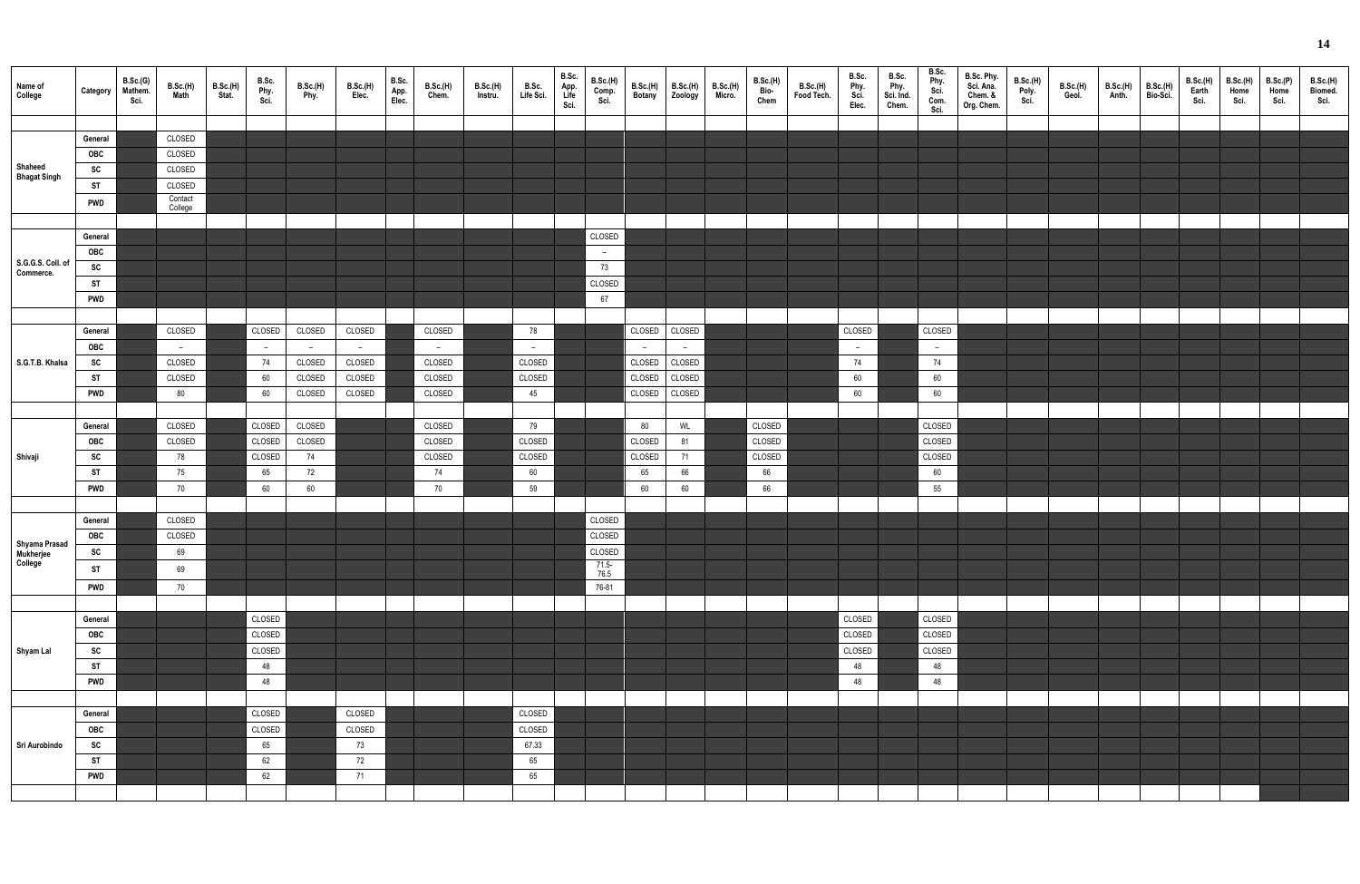| Name of<br>College                    | Category   | B.Sc.(G)<br>Mathem.<br>Sci. | B.Sc.(H)<br>Math   | B.Sc.(H)<br>Stat. | B.Sc.<br>Phy.<br>Sci. | <b>B.Sc.(H)</b><br>Phy. | B.Sc.(H)<br>Elec. | B.Sc.<br>App.<br>Elec. | <b>B.Sc.(H)</b><br>Chem. | <b>B.Sc.(H)</b><br>Instru. | B.Sc.<br>Life Sci. | B.Sc.<br>App.<br>Life<br>Sci. | <b>B.Sc.(H)</b><br>Comp.<br>Sci. | B.Sc.(H)<br>Botany | B.Sc.(H)<br>Zoology | B.Sc.(H)<br>Micro. | B.Sc.(H)<br>Bio-<br>Chem | B.Sc.(H)<br>Food Tech. | B.Sc.<br>Phy.<br>Sci.<br>Elec. | B.Sc.<br>Phy.<br>Sci. Ind.<br>Chem. | B.Sc.<br>Phy.<br>Sci.<br>Com.<br>Sci. | B.Sc. Phy.<br>Sci. Ana.<br>Chem. &<br>Org. Chem. | <b>B.Sc.(H)</b><br>Poly.<br>Sci. | B.Sc.(H)<br>Geol. | B.Sc.(H)<br>Anth. | B.Sc.(H)<br>Bio-Sci. | B.Sc.(H)<br>Earth<br>Sci. | B.Sc.(H)<br>Home<br>Sci. | B.Sc.(P)<br>Home<br>Sci. | B.Sc.(H)<br>Biomed.<br>Sci. |
|---------------------------------------|------------|-----------------------------|--------------------|-------------------|-----------------------|-------------------------|-------------------|------------------------|--------------------------|----------------------------|--------------------|-------------------------------|----------------------------------|--------------------|---------------------|--------------------|--------------------------|------------------------|--------------------------------|-------------------------------------|---------------------------------------|--------------------------------------------------|----------------------------------|-------------------|-------------------|----------------------|---------------------------|--------------------------|--------------------------|-----------------------------|
|                                       |            |                             |                    |                   |                       |                         |                   |                        |                          |                            |                    |                               |                                  |                    |                     |                    |                          |                        |                                |                                     |                                       |                                                  |                                  |                   |                   |                      |                           |                          |                          |                             |
|                                       | General    |                             | CLOSED             |                   |                       |                         |                   |                        |                          |                            |                    |                               |                                  |                    |                     |                    |                          |                        |                                |                                     |                                       |                                                  |                                  |                   |                   |                      |                           |                          |                          |                             |
|                                       | OBC        |                             | CLOSED             |                   |                       |                         |                   |                        |                          |                            |                    |                               |                                  |                    |                     |                    |                          |                        |                                |                                     |                                       |                                                  |                                  |                   |                   |                      |                           |                          |                          |                             |
| Shaheed                               |            |                             |                    |                   |                       |                         |                   |                        |                          |                            |                    |                               |                                  |                    |                     |                    |                          |                        |                                |                                     |                                       |                                                  |                                  |                   |                   |                      |                           |                          |                          |                             |
| <b>Bhagat Singh</b>                   | SC         |                             | CLOSED             |                   |                       |                         |                   |                        |                          |                            |                    |                               |                                  |                    |                     |                    |                          |                        |                                |                                     |                                       |                                                  |                                  |                   |                   |                      |                           |                          |                          |                             |
|                                       | <b>ST</b>  |                             | CLOSED             |                   |                       |                         |                   |                        |                          |                            |                    |                               |                                  |                    |                     |                    |                          |                        |                                |                                     |                                       |                                                  |                                  |                   |                   |                      |                           |                          |                          |                             |
|                                       | <b>PWD</b> |                             | Contact<br>College |                   |                       |                         |                   |                        |                          |                            |                    |                               |                                  |                    |                     |                    |                          |                        |                                |                                     |                                       |                                                  |                                  |                   |                   |                      |                           |                          |                          |                             |
|                                       |            |                             |                    |                   |                       |                         |                   |                        |                          |                            |                    |                               |                                  |                    |                     |                    |                          |                        |                                |                                     |                                       |                                                  |                                  |                   |                   |                      |                           |                          |                          |                             |
|                                       |            |                             |                    |                   |                       |                         |                   |                        |                          |                            |                    |                               |                                  |                    |                     |                    |                          |                        |                                |                                     |                                       |                                                  |                                  |                   |                   |                      |                           |                          |                          |                             |
|                                       | General    |                             |                    |                   |                       |                         |                   |                        |                          |                            |                    |                               | CLOSED                           |                    |                     |                    |                          |                        |                                |                                     |                                       |                                                  |                                  |                   |                   |                      |                           |                          |                          |                             |
| S.G.G.S. Coll. of                     | OBC        |                             |                    |                   |                       |                         |                   |                        |                          |                            |                    |                               | $\sim$                           |                    |                     |                    |                          |                        |                                |                                     |                                       |                                                  |                                  |                   |                   |                      |                           |                          |                          |                             |
| Commerce.                             | SC         |                             |                    |                   |                       |                         |                   |                        |                          |                            |                    |                               | 73                               |                    |                     |                    |                          |                        |                                |                                     |                                       |                                                  |                                  |                   |                   |                      |                           |                          |                          |                             |
|                                       | <b>ST</b>  |                             |                    |                   |                       |                         |                   |                        |                          |                            |                    |                               | CLOSED                           |                    |                     |                    |                          |                        |                                |                                     |                                       |                                                  |                                  |                   |                   |                      |                           |                          |                          |                             |
|                                       | <b>PWD</b> |                             |                    |                   |                       |                         |                   |                        |                          |                            |                    |                               | 67                               |                    |                     |                    |                          |                        |                                |                                     |                                       |                                                  |                                  |                   |                   |                      |                           |                          |                          |                             |
|                                       |            |                             |                    |                   |                       |                         |                   |                        |                          |                            |                    |                               |                                  |                    |                     |                    |                          |                        |                                |                                     |                                       |                                                  |                                  |                   |                   |                      |                           |                          |                          |                             |
|                                       | General    |                             | CLOSED             |                   | CLOSED                | CLOSED                  | CLOSED            |                        | CLOSED                   |                            | 78                 |                               |                                  | CLOSED             | CLOSED              |                    |                          |                        | CLOSED                         |                                     | CLOSED                                |                                                  |                                  |                   |                   |                      |                           |                          |                          |                             |
|                                       |            |                             |                    |                   |                       |                         |                   |                        |                          |                            |                    |                               |                                  |                    |                     |                    |                          |                        |                                |                                     |                                       |                                                  |                                  |                   |                   |                      |                           |                          |                          |                             |
|                                       | OBC        |                             | $-$                |                   | $\sim$                | $-$                     | $-$               |                        | $-$                      |                            | $-$                |                               |                                  | $-$                | $ \,$               |                    |                          |                        | $\overline{a}$                 |                                     | $-$                                   |                                                  |                                  |                   |                   |                      |                           |                          |                          |                             |
| S.G.T.B. Khalsa                       | <b>SC</b>  |                             | CLOSED             |                   | 74                    | CLOSED                  | CLOSED            |                        | CLOSED                   |                            | CLOSED             |                               |                                  | CLOSED             | CLOSED              |                    |                          |                        | 74                             |                                     | 74                                    |                                                  |                                  |                   |                   |                      |                           |                          |                          |                             |
|                                       | <b>ST</b>  |                             | CLOSED             |                   | 60                    | CLOSED                  | CLOSED            |                        | CLOSED                   |                            | CLOSED             |                               |                                  | CLOSED             | CLOSED              |                    |                          |                        | 60                             |                                     | 60                                    |                                                  |                                  |                   |                   |                      |                           |                          |                          |                             |
|                                       | <b>PWD</b> |                             | 80                 |                   | 60                    | CLOSED                  | CLOSED            |                        | CLOSED                   |                            | 45                 |                               |                                  | CLOSED             | CLOSED              |                    |                          |                        | 60                             |                                     | 60                                    |                                                  |                                  |                   |                   |                      |                           |                          |                          |                             |
|                                       |            |                             |                    |                   |                       |                         |                   |                        |                          |                            |                    |                               |                                  |                    |                     |                    |                          |                        |                                |                                     |                                       |                                                  |                                  |                   |                   |                      |                           |                          |                          |                             |
|                                       | General    |                             | CLOSED             |                   | CLOSED                | CLOSED                  |                   |                        | CLOSED                   |                            | 79                 |                               |                                  | 80                 | WL                  |                    | CLOSED                   |                        |                                |                                     | CLOSED                                |                                                  |                                  |                   |                   |                      |                           |                          |                          |                             |
|                                       | OBC        |                             | CLOSED             |                   | CLOSED                | CLOSED                  |                   |                        | CLOSED                   |                            | CLOSED             |                               |                                  | CLOSED             | 81                  |                    | CLOSED                   |                        |                                |                                     | CLOSED                                |                                                  |                                  |                   |                   |                      |                           |                          |                          |                             |
| Shivaji                               | SC         |                             | 78                 |                   | CLOSED                | 74                      |                   |                        | CLOSED                   |                            | CLOSED             |                               |                                  | CLOSED             | 71                  |                    | CLOSED                   |                        |                                |                                     | CLOSED                                |                                                  |                                  |                   |                   |                      |                           |                          |                          |                             |
|                                       |            |                             | 75                 |                   |                       |                         |                   |                        |                          |                            |                    |                               |                                  |                    |                     |                    |                          |                        |                                |                                     |                                       |                                                  |                                  |                   |                   |                      |                           |                          |                          |                             |
|                                       | <b>ST</b>  |                             |                    |                   | 65                    | 72                      |                   |                        | 74                       |                            | 60                 |                               |                                  | 65                 | 66                  |                    | 66                       |                        |                                |                                     | 60                                    |                                                  |                                  |                   |                   |                      |                           |                          |                          |                             |
|                                       | <b>PWD</b> |                             | 70                 |                   | 60                    | 60                      |                   |                        | 70                       |                            | 59                 |                               |                                  | 60                 | 60                  |                    | 66                       |                        |                                |                                     | 55                                    |                                                  |                                  |                   |                   |                      |                           |                          |                          |                             |
|                                       |            |                             |                    |                   |                       |                         |                   |                        |                          |                            |                    |                               |                                  |                    |                     |                    |                          |                        |                                |                                     |                                       |                                                  |                                  |                   |                   |                      |                           |                          |                          |                             |
|                                       | General    |                             | CLOSED             |                   |                       |                         |                   |                        |                          |                            |                    |                               | CLOSED                           |                    |                     |                    |                          |                        |                                |                                     |                                       |                                                  |                                  |                   |                   |                      |                           |                          |                          |                             |
|                                       | OBC        |                             | CLOSED             |                   |                       |                         |                   |                        |                          |                            |                    |                               | CLOSED                           |                    |                     |                    |                          |                        |                                |                                     |                                       |                                                  |                                  |                   |                   |                      |                           |                          |                          |                             |
| Shyama Prasad<br>Mukherjee<br>College | SC         |                             | 69                 |                   |                       |                         |                   |                        |                          |                            |                    |                               | CLOSED                           |                    |                     |                    |                          |                        |                                |                                     |                                       |                                                  |                                  |                   |                   |                      |                           |                          |                          |                             |
|                                       | <b>ST</b>  |                             | 69                 |                   |                       |                         |                   |                        |                          |                            |                    |                               | 71.5-<br>76.5                    |                    |                     |                    |                          |                        |                                |                                     |                                       |                                                  |                                  |                   |                   |                      |                           |                          |                          |                             |
|                                       | <b>PWD</b> |                             | 70                 |                   |                       |                         |                   |                        |                          |                            |                    |                               | 76-81                            |                    |                     |                    |                          |                        |                                |                                     |                                       |                                                  |                                  |                   |                   |                      |                           |                          |                          |                             |
|                                       |            |                             |                    |                   |                       |                         |                   |                        |                          |                            |                    |                               |                                  |                    |                     |                    |                          |                        |                                |                                     |                                       |                                                  |                                  |                   |                   |                      |                           |                          |                          |                             |
|                                       |            |                             |                    |                   |                       |                         |                   |                        |                          |                            |                    |                               |                                  |                    |                     |                    |                          |                        |                                |                                     |                                       |                                                  |                                  |                   |                   |                      |                           |                          |                          |                             |
|                                       | General    |                             |                    |                   | CLOSED                |                         |                   |                        |                          |                            |                    |                               |                                  |                    |                     |                    |                          |                        | CLOSED                         |                                     | CLOSED                                |                                                  |                                  |                   |                   |                      |                           |                          |                          |                             |
|                                       | OBC        |                             |                    |                   | CLOSED                |                         |                   |                        |                          |                            |                    |                               |                                  |                    |                     |                    |                          |                        | CLOSED                         |                                     | CLOSED                                |                                                  |                                  |                   |                   |                      |                           |                          |                          |                             |
| Shyam Lal                             | SC         |                             |                    |                   | CLOSED                |                         |                   |                        |                          |                            |                    |                               |                                  |                    |                     |                    |                          |                        | CLOSED                         |                                     | CLOSED                                |                                                  |                                  |                   |                   |                      |                           |                          |                          |                             |
|                                       | <b>ST</b>  |                             |                    |                   | 48                    |                         |                   |                        |                          |                            |                    |                               |                                  |                    |                     |                    |                          |                        | 48                             |                                     | 48                                    |                                                  |                                  |                   |                   |                      |                           |                          |                          |                             |
|                                       | <b>PWD</b> |                             |                    |                   | 48                    |                         |                   |                        |                          |                            |                    |                               |                                  |                    |                     |                    |                          |                        | 48                             |                                     | 48                                    |                                                  |                                  |                   |                   |                      |                           |                          |                          |                             |
|                                       |            |                             |                    |                   |                       |                         |                   |                        |                          |                            |                    |                               |                                  |                    |                     |                    |                          |                        |                                |                                     |                                       |                                                  |                                  |                   |                   |                      |                           |                          |                          |                             |
|                                       | General    |                             |                    |                   | CLOSED                |                         | CLOSED            |                        |                          |                            | CLOSED             |                               |                                  |                    |                     |                    |                          |                        |                                |                                     |                                       |                                                  |                                  |                   |                   |                      |                           |                          |                          |                             |
|                                       |            |                             |                    |                   |                       |                         |                   |                        |                          |                            |                    |                               |                                  |                    |                     |                    |                          |                        |                                |                                     |                                       |                                                  |                                  |                   |                   |                      |                           |                          |                          |                             |
|                                       | OBC        |                             |                    |                   | CLOSED                |                         | CLOSED            |                        |                          |                            | CLOSED             |                               |                                  |                    |                     |                    |                          |                        |                                |                                     |                                       |                                                  |                                  |                   |                   |                      |                           |                          |                          |                             |
| Sri Aurobindo                         | SC         |                             |                    |                   | 65                    |                         | 73                |                        |                          |                            | 67.33              |                               |                                  |                    |                     |                    |                          |                        |                                |                                     |                                       |                                                  |                                  |                   |                   |                      |                           |                          |                          |                             |
|                                       | <b>ST</b>  |                             |                    |                   | 62                    |                         | 72                |                        |                          |                            | 65                 |                               |                                  |                    |                     |                    |                          |                        |                                |                                     |                                       |                                                  |                                  |                   |                   |                      |                           |                          |                          |                             |
|                                       | <b>PWD</b> |                             |                    |                   | 62                    |                         | 71                |                        |                          |                            | 65                 |                               |                                  |                    |                     |                    |                          |                        |                                |                                     |                                       |                                                  |                                  |                   |                   |                      |                           |                          |                          |                             |
|                                       |            |                             |                    |                   |                       |                         |                   |                        |                          |                            |                    |                               |                                  |                    |                     |                    |                          |                        |                                |                                     |                                       |                                                  |                                  |                   |                   |                      |                           |                          |                          |                             |
|                                       |            |                             |                    |                   |                       |                         |                   |                        |                          |                            |                    |                               |                                  |                    |                     |                    |                          |                        |                                |                                     |                                       |                                                  |                                  |                   |                   |                      |                           |                          |                          |                             |